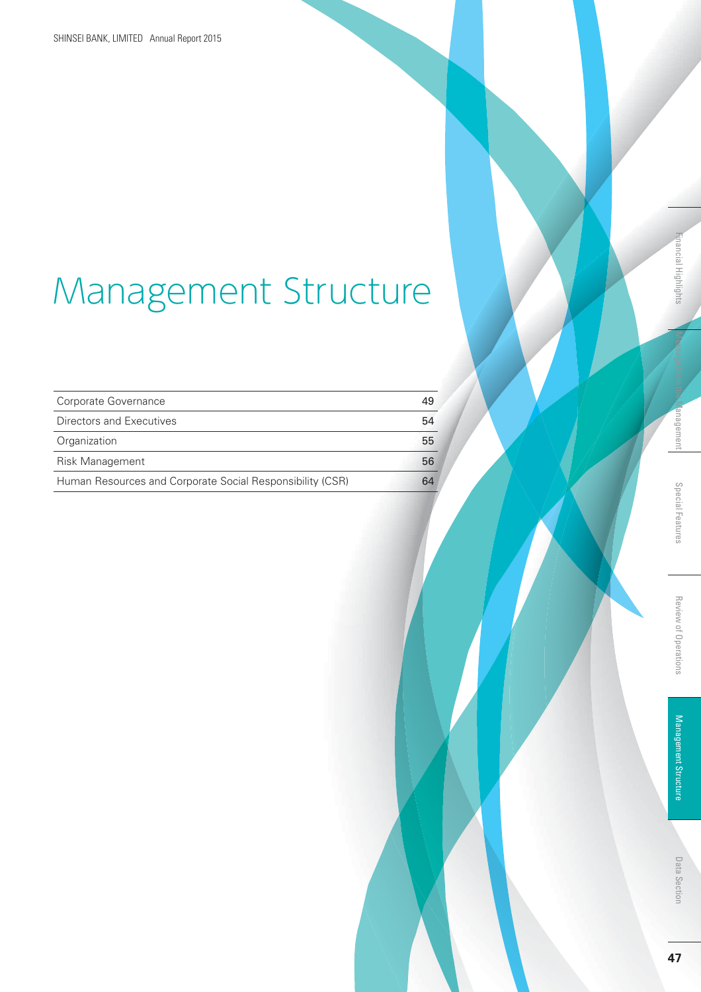# Management Structure

| Corporate Governance                                      | 49 |
|-----------------------------------------------------------|----|
| Directors and Executives                                  | 54 |
| Organization                                              | 55 |
| Risk Management                                           | 56 |
| Human Resources and Corporate Social Responsibility (CSR) | 64 |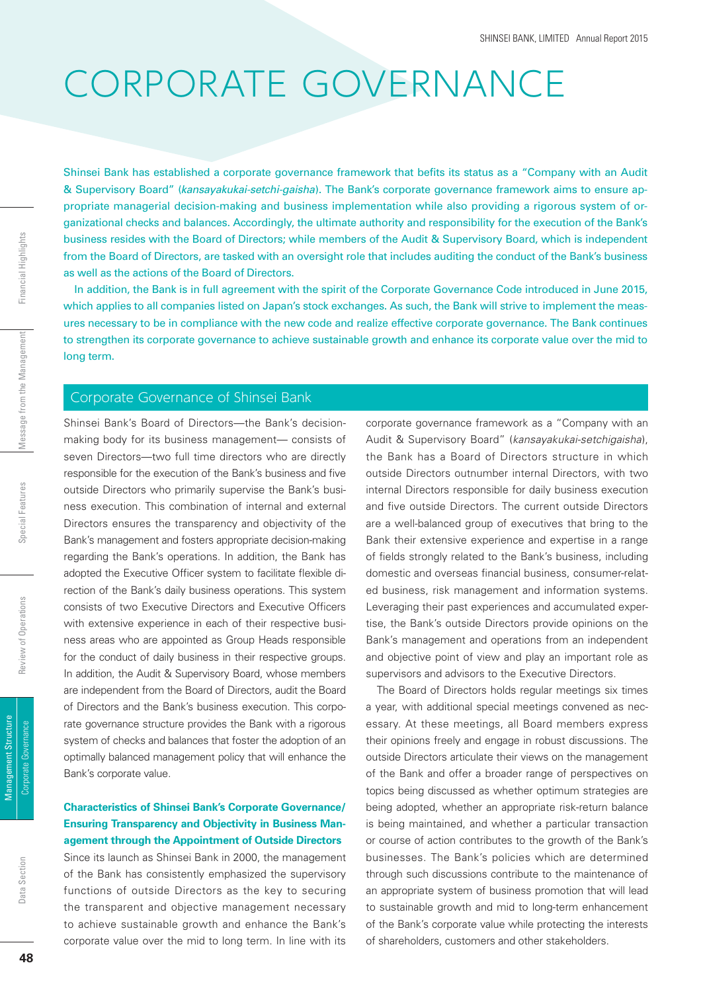## CORPORATE GOVERNANCE

Shinsei Bank has established a corporate governance framework that befits its status as a "Company with an Audit & Supervisory Board" (*kansayakukai-setchi-gaisha*). The Bank's corporate governance framework aims to ensure appropriate managerial decision-making and business implementation while also providing a rigorous system of organizational checks and balances. Accordingly, the ultimate authority and responsibility for the execution of the Bank's business resides with the Board of Directors; while members of the Audit & Supervisory Board, which is independent from the Board of Directors, are tasked with an oversight role that includes auditing the conduct of the Bank's business as well as the actions of the Board of Directors.

In addition, the Bank is in full agreement with the spirit of the Corporate Governance Code introduced in June 2015, which applies to all companies listed on Japan's stock exchanges. As such, the Bank will strive to implement the measures necessary to be in compliance with the new code and realize effective corporate governance. The Bank continues to strengthen its corporate governance to achieve sustainable growth and enhance its corporate value over the mid to long term.

#### Corporate Governance of Shinsei Bank

Shinsei Bank's Board of Directors—the Bank's decisionmaking body for its business management— consists of seven Directors—two full time directors who are directly responsible for the execution of the Bank's business and five outside Directors who primarily supervise the Bank's business execution. This combination of internal and external Directors ensures the transparency and objectivity of the Bank's management and fosters appropriate decision-making regarding the Bank's operations. In addition, the Bank has adopted the Executive Officer system to facilitate flexible direction of the Bank's daily business operations. This system consists of two Executive Directors and Executive Officers with extensive experience in each of their respective business areas who are appointed as Group Heads responsible for the conduct of daily business in their respective groups. In addition, the Audit & Supervisory Board, whose members are independent from the Board of Directors, audit the Board of Directors and the Bank's business execution. This corporate governance structure provides the Bank with a rigorous system of checks and balances that foster the adoption of an optimally balanced management policy that will enhance the Bank's corporate value.

### **Characteristics of Shinsei Bank's Corporate Governance/ Ensuring Transparency and Objectivity in Business Management through the Appointment of Outside Directors**

Since its launch as Shinsei Bank in 2000, the management of the Bank has consistently emphasized the supervisory functions of outside Directors as the key to securing the transparent and objective management necessary to achieve sustainable growth and enhance the Bank's corporate value over the mid to long term. In line with its

corporate governance framework as a "Company with an Audit & Supervisory Board" (*kansayakukai-setchigaisha*), the Bank has a Board of Directors structure in which outside Directors outnumber internal Directors, with two internal Directors responsible for daily business execution and five outside Directors. The current outside Directors are a well-balanced group of executives that bring to the Bank their extensive experience and expertise in a range of fields strongly related to the Bank's business, including domestic and overseas financial business, consumer-related business, risk management and information systems. Leveraging their past experiences and accumulated expertise, the Bank's outside Directors provide opinions on the Bank's management and operations from an independent and objective point of view and play an important role as supervisors and advisors to the Executive Directors.

The Board of Directors holds regular meetings six times a year, with additional special meetings convened as necessary. At these meetings, all Board members express their opinions freely and engage in robust discussions. The outside Directors articulate their views on the management of the Bank and offer a broader range of perspectives on topics being discussed as whether optimum strategies are being adopted, whether an appropriate risk-return balance is being maintained, and whether a particular transaction or course of action contributes to the growth of the Bank's businesses. The Bank's policies which are determined through such discussions contribute to the maintenance of an appropriate system of business promotion that will lead to sustainable growth and mid to long-term enhancement of the Bank's corporate value while protecting the interests of shareholders, customers and other stakeholders.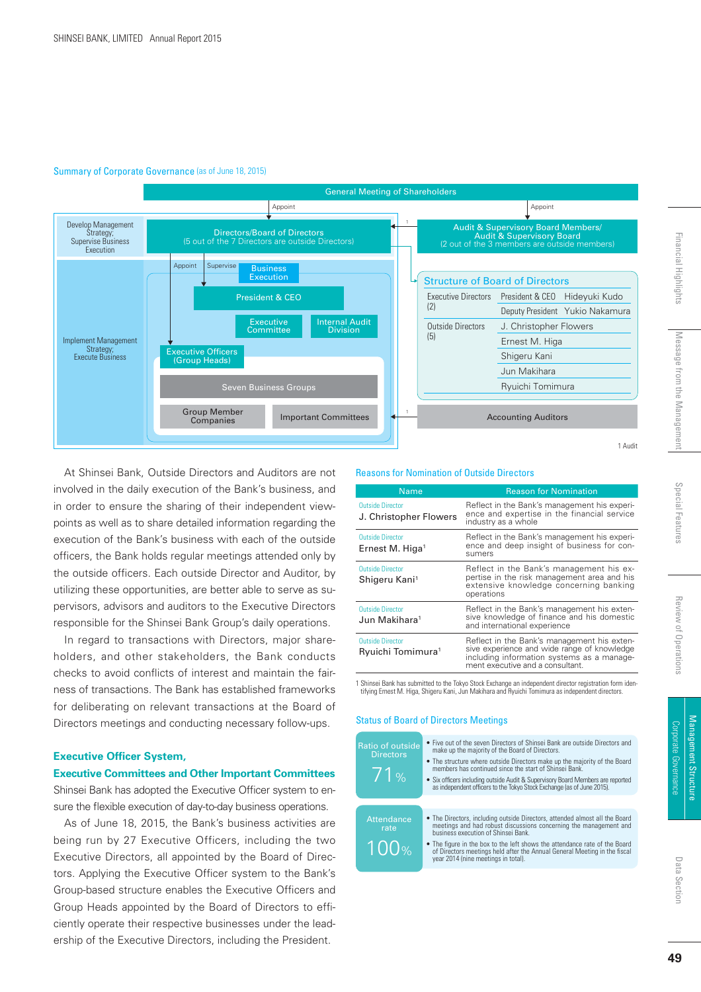#### Summary of Corporate Governance (as of June 18, 2015)



At Shinsei Bank, Outside Directors and Auditors are not involved in the daily execution of the Bank's business, and in order to ensure the sharing of their independent viewpoints as well as to share detailed information regarding the execution of the Bank's business with each of the outside officers, the Bank holds regular meetings attended only by the outside officers. Each outside Director and Auditor, by utilizing these opportunities, are better able to serve as supervisors, advisors and auditors to the Executive Directors responsible for the Shinsei Bank Group's daily operations.

In regard to transactions with Directors, major shareholders, and other stakeholders, the Bank conducts checks to avoid conflicts of interest and maintain the fairness of transactions. The Bank has established frameworks for deliberating on relevant transactions at the Board of Directors meetings and conducting necessary follow-ups.

#### **Executive Officer System,**

#### **Executive Committees and Other Important Committees**

Shinsei Bank has adopted the Executive Officer system to ensure the flexible execution of day-to-day business operations.

As of June 18, 2015, the Bank's business activities are being run by 27 Executive Officers, including the two Executive Directors, all appointed by the Board of Directors. Applying the Executive Officer system to the Bank's Group-based structure enables the Executive Officers and Group Heads appointed by the Board of Directors to efficiently operate their respective businesses under the leadership of the Executive Directors, including the President.

#### Reasons for Nomination of Outside Directors

| <b>Name</b>                                              | <b>Reason for Nomination</b>                                                                                                                                                 |  |
|----------------------------------------------------------|------------------------------------------------------------------------------------------------------------------------------------------------------------------------------|--|
| <b>Outside Director</b><br>J. Christopher Flowers        | Reflect in the Bank's management his experi-<br>ence and expertise in the financial service<br>industry as a whole                                                           |  |
| <b>Outside Director</b><br>Ernest M. Higa <sup>1</sup>   | Reflect in the Bank's management his experi-<br>ence and deep insight of business for con-<br>sumers                                                                         |  |
| <b>Outside Director</b><br>Shigeru Kani <sup>1</sup>     | Reflect in the Bank's management his ex-<br>pertise in the risk management area and his<br>extensive knowledge concerning banking<br>operations                              |  |
| <b>Outside Director</b><br>Jun Makihara <sup>1</sup>     | Reflect in the Bank's management his exten-<br>sive knowledge of finance and his domestic<br>and international experience                                                    |  |
| <b>Outside Director</b><br>Ryuichi Tomimura <sup>1</sup> | Reflect in the Bank's management his exten-<br>sive experience and wide range of knowledge<br>including information systems as a manage-<br>ment executive and a consultant. |  |

1 Shinsei Bank has submitted to the Tokyo Stock Exchange an independent director registration form iden-tifying Ernest M. Higa, Shigeru Kani, Jun Makihara and Ryuichi Tomimura as independent directors.

#### Status of Board of Directors Meetings

- Five out of the seven Directors of Shinsei Bank are outside Directors and make up the majority of the Board of Directors. • The structure where outside Directors make up the majority of the Board members has continued since the start of Shinsei Bank. • Six officers including outside Audit & Supervisory Board Members are reported as independent officers to the Tokyo Stock Exchange (as of June 2015). 71% Ratio of outside Directors
	- The Directors, including outside Directors, attended almost all the Board meetings and had robust discussions concerning the management and business execution of Shinsei Bank. Attendance rate
	- The figure in the box to the left shows the attendance rate of the Board of Directors meetings held after the Annual General Meeting in the fiscal<br>year 2014 (nine meetings in total). 100%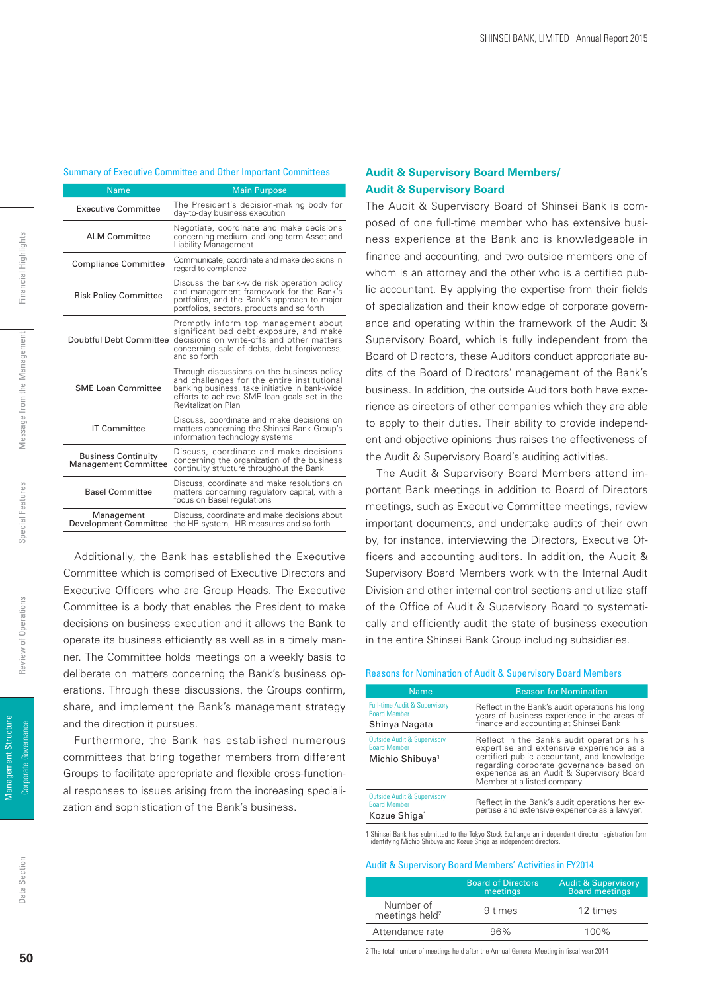#### Summary of Executive Committee and Other Important Committees

| <b>Name</b>                                               | <b>Main Purpose</b>                                                                                                                                                                                                       |
|-----------------------------------------------------------|---------------------------------------------------------------------------------------------------------------------------------------------------------------------------------------------------------------------------|
| <b>Executive Committee</b>                                | The President's decision-making body for<br>day-to-day business execution                                                                                                                                                 |
| AI M Committee                                            | Negotiate, coordinate and make decisions<br>concerning medium- and long-term Asset and<br>Liability Management                                                                                                            |
| <b>Compliance Committee</b>                               | Communicate, coordinate and make decisions in<br>regard to compliance                                                                                                                                                     |
| <b>Risk Policy Committee</b>                              | Discuss the bank-wide risk operation policy<br>and management framework for the Bank's<br>portfolios, and the Bank's approach to major<br>portfolios, sectors, products and so forth                                      |
| Doubtful Debt Committee                                   | Promptly inform top management about<br>significant bad debt exposure, and make<br>decisions on write-offs and other matters<br>concerning sale of debts, debt forgiveness,<br>and so forth                               |
| <b>SME Loan Committee</b>                                 | Through discussions on the business policy<br>and challenges for the entire institutional<br>banking business, take initiative in bank-wide<br>efforts to achieve SME loan goals set in the<br><b>Revitalization Plan</b> |
| <b>IT Committee</b>                                       | Discuss, coordinate and make decisions on<br>matters concerning the Shinsei Bank Group's<br>information technology systems                                                                                                |
| <b>Business Continuity</b><br><b>Management Committee</b> | Discuss, coordinate and make decisions<br>concerning the organization of the business<br>continuity structure throughout the Bank                                                                                         |
| <b>Basel Committee</b>                                    | Discuss, coordinate and make resolutions on<br>matters concerning regulatory capital, with a<br>focus on Basel regulations                                                                                                |
| Management<br>Development Committee                       | Discuss, coordinate and make decisions about<br>the HR system, HR measures and so forth                                                                                                                                   |

Additionally, the Bank has established the Executive Committee which is comprised of Executive Directors and Executive Officers who are Group Heads. The Executive Committee is a body that enables the President to make decisions on business execution and it allows the Bank to operate its business efficiently as well as in a timely manner. The Committee holds meetings on a weekly basis to deliberate on matters concerning the Bank's business operations. Through these discussions, the Groups confirm, share, and implement the Bank's management strategy and the direction it pursues.

Furthermore, the Bank has established numerous committees that bring together members from different Groups to facilitate appropriate and flexible cross-functional responses to issues arising from the increasing specialization and sophistication of the Bank's business.

#### **Audit & Supervisory Board Members/ Audit & Supervisory Board**

The Audit & Supervisory Board of Shinsei Bank is composed of one full-time member who has extensive business experience at the Bank and is knowledgeable in finance and accounting, and two outside members one of whom is an attorney and the other who is a certified public accountant. By applying the expertise from their fields of specialization and their knowledge of corporate governance and operating within the framework of the Audit & Supervisory Board, which is fully independent from the Board of Directors, these Auditors conduct appropriate audits of the Board of Directors' management of the Bank's business. In addition, the outside Auditors both have experience as directors of other companies which they are able to apply to their duties. Their ability to provide independent and objective opinions thus raises the effectiveness of the Audit & Supervisory Board's auditing activities.

The Audit & Supervisory Board Members attend important Bank meetings in addition to Board of Directors meetings, such as Executive Committee meetings, review important documents, and undertake audits of their own by, for instance, interviewing the Directors, Executive Officers and accounting auditors. In addition, the Audit & Supervisory Board Members work with the Internal Audit Division and other internal control sections and utilize staff of the Office of Audit & Supervisory Board to systematically and efficiently audit the state of business execution in the entire Shinsei Bank Group including subsidiaries.

#### Reasons for Nomination of Audit & Supervisory Board Members

| <b>Name</b>                                                                                  | <b>Reason for Nomination</b>                                                                                                                                                                                                                                |
|----------------------------------------------------------------------------------------------|-------------------------------------------------------------------------------------------------------------------------------------------------------------------------------------------------------------------------------------------------------------|
| <b>Full-time Audit &amp; Supervisory</b><br><b>Board Member</b><br>Shinya Nagata             | Reflect in the Bank's audit operations his long<br>years of business experience in the areas of<br>finance and accounting at Shinsei Bank                                                                                                                   |
| <b>Outside Audit &amp; Supervisory</b><br><b>Board Member</b><br>Michio Shibuya <sup>1</sup> | Reflect in the Bank's audit operations his<br>expertise and extensive experience as a<br>certified public accountant, and knowledge<br>regarding corporate governance based on<br>experience as an Audit & Supervisory Board<br>Member at a listed company. |
| <b>Outside Audit &amp; Supervisory</b><br><b>Board Member</b><br>Kozue Shiga <sup>1</sup>    | Reflect in the Bank's audit operations her ex-<br>pertise and extensive experience as a lawyer.                                                                                                                                                             |
|                                                                                              |                                                                                                                                                                                                                                                             |

1 Shinsei Bank has submitted to the Tokyo Stock Exchange an independent director registration form identifying Michio Shibuya and Kozue Shiga as independent directors.

#### Audit & Supervisory Board Members' Activities in FY2014

|                                         | <b>Board of Directors</b><br>meetings | <b>Audit &amp; Supervisory</b><br><b>Board meetings</b> |
|-----------------------------------------|---------------------------------------|---------------------------------------------------------|
| Number of<br>meetings held <sup>2</sup> | 9 times                               | 12 times                                                |
| Attendance rate                         | 96%                                   | 100%                                                    |

2 The total number of meetings held after the Annual General Meeting in fiscal year 2014

Data Section

Data Section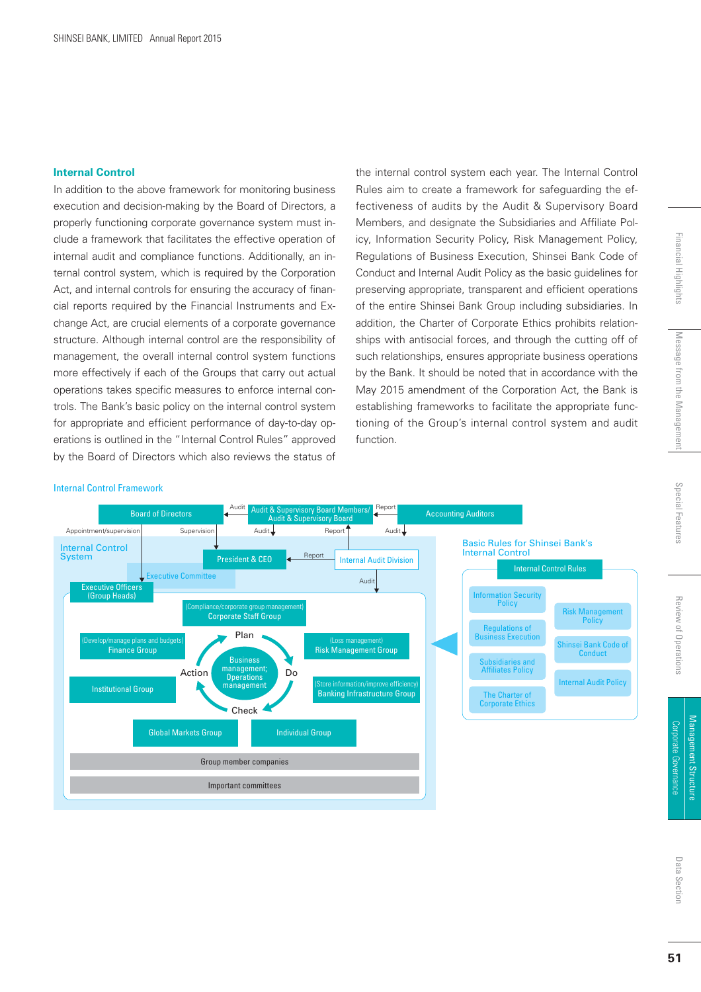#### **Internal Control**

In addition to the above framework for monitoring business execution and decision-making by the Board of Directors, a properly functioning corporate governance system must include a framework that facilitates the effective operation of internal audit and compliance functions. Additionally, an internal control system, which is required by the Corporation Act, and internal controls for ensuring the accuracy of financial reports required by the Financial Instruments and Exchange Act, are crucial elements of a corporate governance structure. Although internal control are the responsibility of management, the overall internal control system functions more effectively if each of the Groups that carry out actual operations takes specific measures to enforce internal controls. The Bank's basic policy on the internal control system for appropriate and efficient performance of day-to-day operations is outlined in the "Internal Control Rules" approved by the Board of Directors which also reviews the status of

the internal control system each year. The Internal Control Rules aim to create a framework for safeguarding the effectiveness of audits by the Audit & Supervisory Board Members, and designate the Subsidiaries and Affiliate Policy, Information Security Policy, Risk Management Policy, Regulations of Business Execution, Shinsei Bank Code of Conduct and Internal Audit Policy as the basic guidelines for preserving appropriate, transparent and efficient operations of the entire Shinsei Bank Group including subsidiaries. In addition, the Charter of Corporate Ethics prohibits relationships with antisocial forces, and through the cutting off of such relationships, ensures appropriate business operations by the Bank. It should be noted that in accordance with the May 2015 amendment of the Corporation Act, the Bank is establishing frameworks to facilitate the appropriate functioning of the Group's internal control system and audit function.

#### Internal Control Framework

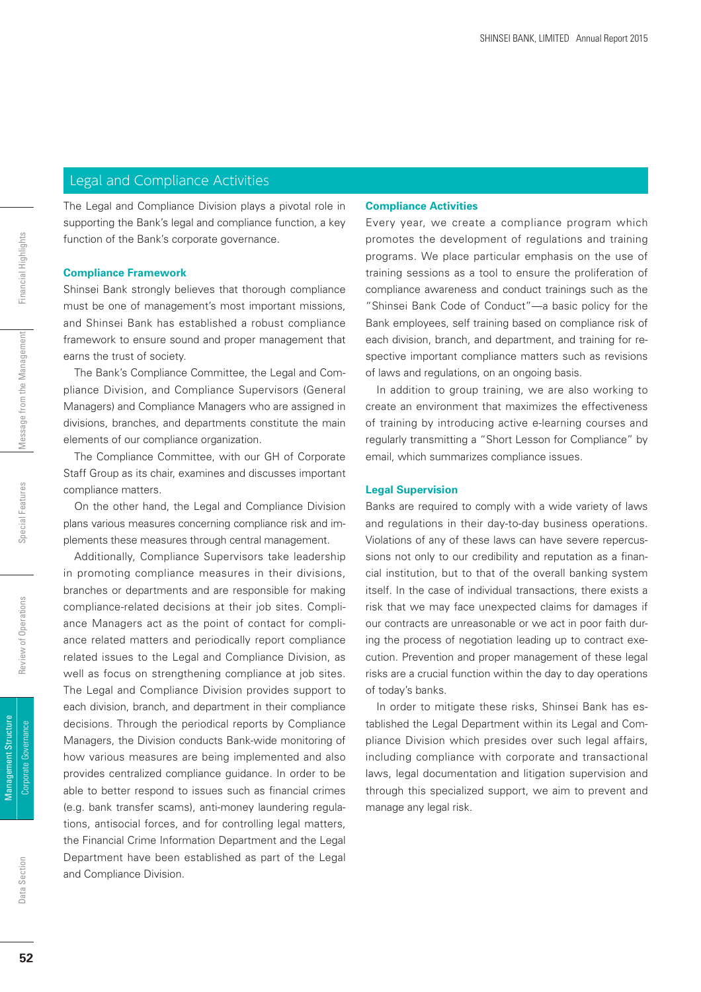### Legal and Compliance Activities

The Legal and Compliance Division plays a pivotal role in supporting the Bank's legal and compliance function, a key function of the Bank's corporate governance.

#### **Compliance Framework**

Shinsei Bank strongly believes that thorough compliance must be one of management's most important missions, and Shinsei Bank has established a robust compliance framework to ensure sound and proper management that earns the trust of society.

The Bank's Compliance Committee, the Legal and Compliance Division, and Compliance Supervisors (General Managers) and Compliance Managers who are assigned in divisions, branches, and departments constitute the main elements of our compliance organization.

The Compliance Committee, with our GH of Corporate Staff Group as its chair, examines and discusses important compliance matters.

On the other hand, the Legal and Compliance Division plans various measures concerning compliance risk and implements these measures through central management.

Additionally, Compliance Supervisors take leadership in promoting compliance measures in their divisions, branches or departments and are responsible for making compliance-related decisions at their job sites. Compliance Managers act as the point of contact for compliance related matters and periodically report compliance related issues to the Legal and Compliance Division, as well as focus on strengthening compliance at job sites. The Legal and Compliance Division provides support to each division, branch, and department in their compliance decisions. Through the periodical reports by Compliance Managers, the Division conducts Bank-wide monitoring of how various measures are being implemented and also provides centralized compliance guidance. In order to be able to better respond to issues such as financial crimes (e.g. bank transfer scams), anti-money laundering regulations, antisocial forces, and for controlling legal matters, the Financial Crime Information Department and the Legal Department have been established as part of the Legal and Compliance Division.

#### **Compliance Activities**

Every year, we create a compliance program which promotes the development of regulations and training programs. We place particular emphasis on the use of training sessions as a tool to ensure the proliferation of compliance awareness and conduct trainings such as the "Shinsei Bank Code of Conduct"—a basic policy for the Bank employees, self training based on compliance risk of each division, branch, and department, and training for respective important compliance matters such as revisions of laws and regulations, on an ongoing basis.

In addition to group training, we are also working to create an environment that maximizes the effectiveness of training by introducing active e-learning courses and regularly transmitting a "Short Lesson for Compliance" by email, which summarizes compliance issues.

#### **Legal Supervision**

Banks are required to comply with a wide variety of laws and regulations in their day-to-day business operations. Violations of any of these laws can have severe repercussions not only to our credibility and reputation as a financial institution, but to that of the overall banking system itself. In the case of individual transactions, there exists a risk that we may face unexpected claims for damages if our contracts are unreasonable or we act in poor faith during the process of negotiation leading up to contract execution. Prevention and proper management of these legal risks are a crucial function within the day to day operations of today's banks.

In order to mitigate these risks, Shinsei Bank has established the Legal Department within its Legal and Compliance Division which presides over such legal affairs, including compliance with corporate and transactional laws, legal documentation and litigation supervision and through this specialized support, we aim to prevent and manage any legal risk.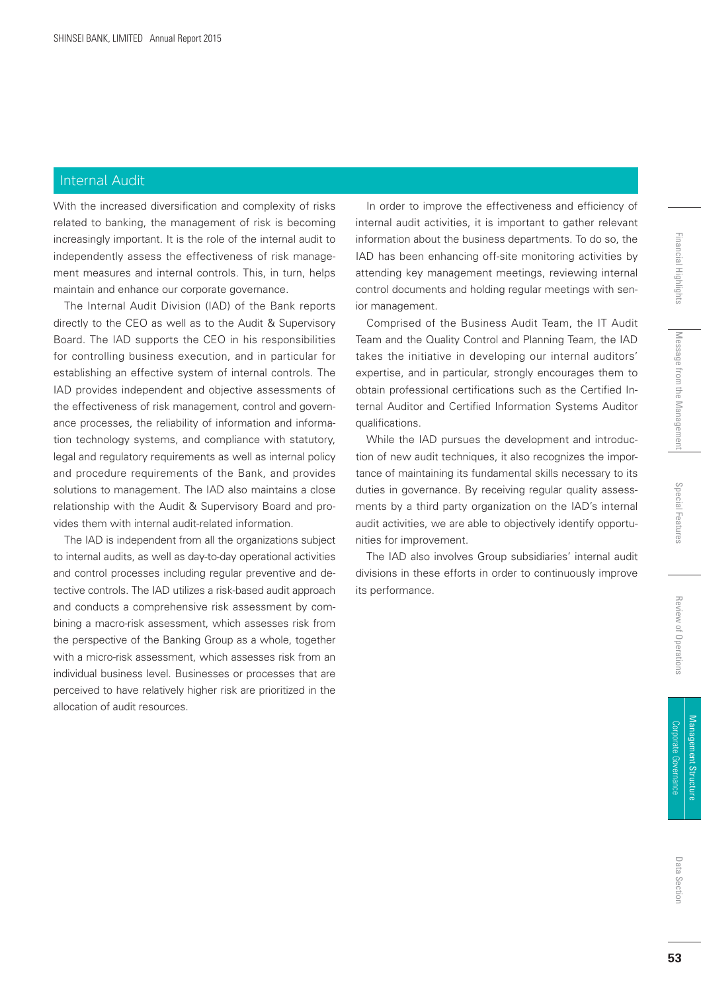### Internal Audit

With the increased diversification and complexity of risks related to banking, the management of risk is becoming increasingly important. It is the role of the internal audit to independently assess the effectiveness of risk management measures and internal controls. This, in turn, helps maintain and enhance our corporate governance.

The Internal Audit Division (IAD) of the Bank reports directly to the CEO as well as to the Audit & Supervisory Board. The IAD supports the CEO in his responsibilities for controlling business execution, and in particular for establishing an effective system of internal controls. The IAD provides independent and objective assessments of the effectiveness of risk management, control and governance processes, the reliability of information and information technology systems, and compliance with statutory, legal and regulatory requirements as well as internal policy and procedure requirements of the Bank, and provides solutions to management. The IAD also maintains a close relationship with the Audit & Supervisory Board and provides them with internal audit-related information.

The IAD is independent from all the organizations subject to internal audits, as well as day-to-day operational activities and control processes including regular preventive and detective controls. The IAD utilizes a risk-based audit approach and conducts a comprehensive risk assessment by combining a macro-risk assessment, which assesses risk from the perspective of the Banking Group as a whole, together with a micro-risk assessment, which assesses risk from an individual business level. Businesses or processes that are perceived to have relatively higher risk are prioritized in the allocation of audit resources.

In order to improve the effectiveness and efficiency of internal audit activities, it is important to gather relevant information about the business departments. To do so, the IAD has been enhancing off-site monitoring activities by attending key management meetings, reviewing internal control documents and holding regular meetings with senior management.

Comprised of the Business Audit Team, the IT Audit Team and the Quality Control and Planning Team, the IAD takes the initiative in developing our internal auditors' expertise, and in particular, strongly encourages them to obtain professional certifications such as the Certified Internal Auditor and Certified Information Systems Auditor qualifications.

While the IAD pursues the development and introduction of new audit techniques, it also recognizes the importance of maintaining its fundamental skills necessary to its duties in governance. By receiving regular quality assessments by a third party organization on the IAD's internal audit activities, we are able to objectively identify opportunities for improvement.

The IAD also involves Group subsidiaries' internal audit divisions in these efforts in order to continuously improve its performance.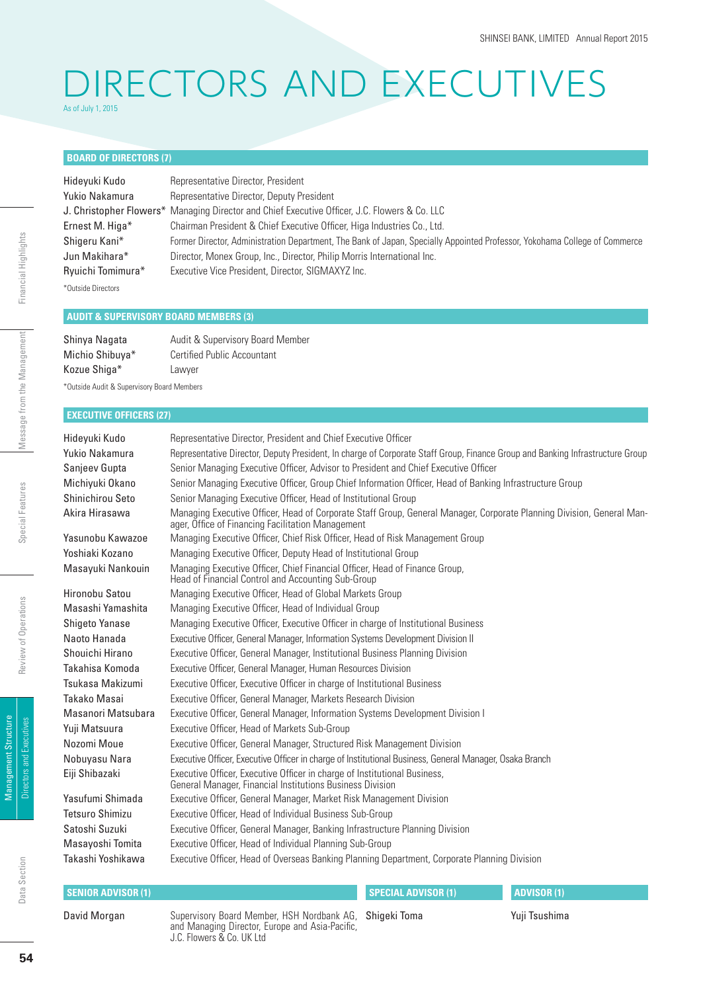### DIRECTORS AND EXECUTIVES As of July 1, 2015

#### **BOARD OF DIRECTORS (7)**

| Hideyuki Kudo      | Representative Director, President                                                                                         |
|--------------------|----------------------------------------------------------------------------------------------------------------------------|
| Yukio Nakamura     | Representative Director, Deputy President                                                                                  |
|                    | J. Christopher Flowers* Managing Director and Chief Executive Officer, J.C. Flowers & Co. LLC                              |
| Ernest M. Higa*    | Chairman President & Chief Executive Officer, Higa Industries Co., Ltd.                                                    |
| Shigeru Kani*      | Former Director, Administration Department, The Bank of Japan, Specially Appointed Professor, Yokohama College of Commerce |
| Jun Makihara*      | Director, Monex Group, Inc., Director, Philip Morris International Inc.                                                    |
| Ryuichi Tomimura*  | Executive Vice President, Director, SIGMAXYZ Inc.                                                                          |
| *Outside Directors |                                                                                                                            |

#### **AUDIT & SUPERVISORY BOARD MEMBERS (3)**

| Shinya Nagata   | Audit & Supervisory Board Member   |
|-----------------|------------------------------------|
| Michio Shibuya* | <b>Certified Public Accountant</b> |
| Kozue Shiga*    | Lawyer                             |

\*Outside Audit & Supervisory Board Members

#### **EXECUTIVE OFFICERS (27)**

| Hideyuki Kudo          | Representative Director, President and Chief Executive Officer                                                                                                             |
|------------------------|----------------------------------------------------------------------------------------------------------------------------------------------------------------------------|
| Yukio Nakamura         | Representative Director, Deputy President, In charge of Corporate Staff Group, Finance Group and Banking Infrastructure Group                                              |
| Sanjeev Gupta          | Senior Managing Executive Officer, Advisor to President and Chief Executive Officer                                                                                        |
| Michiyuki Okano        | Senior Managing Executive Officer, Group Chief Information Officer, Head of Banking Infrastructure Group                                                                   |
| Shinichirou Seto       | Senior Managing Executive Officer, Head of Institutional Group                                                                                                             |
| Akira Hirasawa         | Managing Executive Officer, Head of Corporate Staff Group, General Manager, Corporate Planning Division, General Man-<br>ager, Office of Financing Facilitation Management |
| Yasunobu Kawazoe       | Managing Executive Officer, Chief Risk Officer, Head of Risk Management Group                                                                                              |
| Yoshiaki Kozano        | Managing Executive Officer, Deputy Head of Institutional Group                                                                                                             |
| Masayuki Nankouin      | Managing Executive Officer, Chief Financial Officer, Head of Finance Group,<br>Head of Financial Control and Accounting Sub-Group                                          |
| Hironobu Satou         | Managing Executive Officer, Head of Global Markets Group                                                                                                                   |
| Masashi Yamashita      | Managing Executive Officer, Head of Individual Group                                                                                                                       |
| Shigeto Yanase         | Managing Executive Officer, Executive Officer in charge of Institutional Business                                                                                          |
| Naoto Hanada           | Executive Officer, General Manager, Information Systems Development Division II                                                                                            |
| Shouichi Hirano        | Executive Officer, General Manager, Institutional Business Planning Division                                                                                               |
| Takahisa Komoda        | Executive Officer, General Manager, Human Resources Division                                                                                                               |
| Tsukasa Makizumi       | Executive Officer, Executive Officer in charge of Institutional Business                                                                                                   |
| Takako Masai           | Executive Officer, General Manager, Markets Research Division                                                                                                              |
| Masanori Matsubara     | Executive Officer, General Manager, Information Systems Development Division I                                                                                             |
| Yuji Matsuura          | Executive Officer, Head of Markets Sub-Group                                                                                                                               |
| Nozomi Moue            | Executive Officer, General Manager, Structured Risk Management Division                                                                                                    |
| Nobuyasu Nara          | Executive Officer, Executive Officer in charge of Institutional Business, General Manager, Osaka Branch                                                                    |
| Eiji Shibazaki         | Executive Officer, Executive Officer in charge of Institutional Business, General Manager, Financial Institutions Business Division                                        |
| Yasufumi Shimada       | Executive Officer, General Manager, Market Risk Management Division                                                                                                        |
| <b>Tetsuro Shimizu</b> | Executive Officer, Head of Individual Business Sub-Group                                                                                                                   |
| Satoshi Suzuki         | Executive Officer, General Manager, Banking Infrastructure Planning Division                                                                                               |
| Masayoshi Tomita       | Executive Officer, Head of Individual Planning Sub-Group                                                                                                                   |
| Takashi Yoshikawa      | Executive Officer, Head of Overseas Banking Planning Department, Corporate Planning Division                                                                               |
|                        |                                                                                                                                                                            |

#### **SENIOR ADVISOR (1)** David Morgan Supervisory Board Member, HSH Nordbank AG, and Managing Director, Europe and Asia-Pacific, **ADVISOR (1) SPECIAL ADVISOR (1)** Shigeki Toma

J.C. Flowers & Co. UK Ltd

Yuji Tsushima

Financial Highlights Di**rectors and Executives** Fieview of Operations Special Features Pations Management Special Highlights Financial Highlights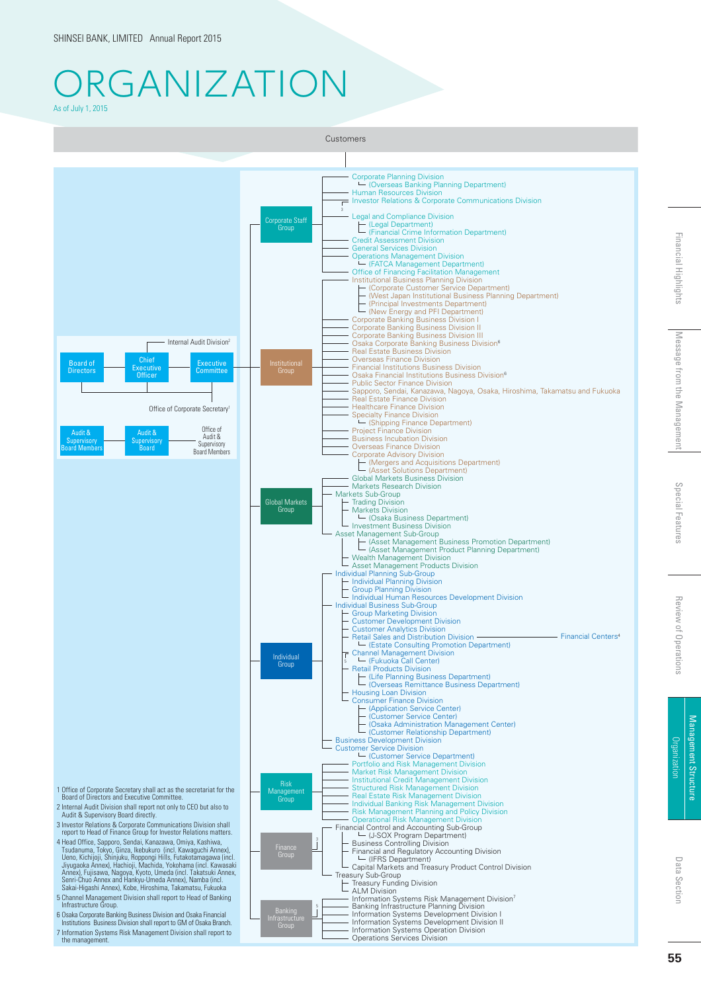### **RGANIZATION** As of July 1, 2015



**55**

Data Section

Data Section

Management Structure

Management Structure **Urganizatior** 

Financial Highlights Massage from the Management Special Features Review of Operations Organization

Special Feature:

Review of Operations

Message from the Management

Financial Highlights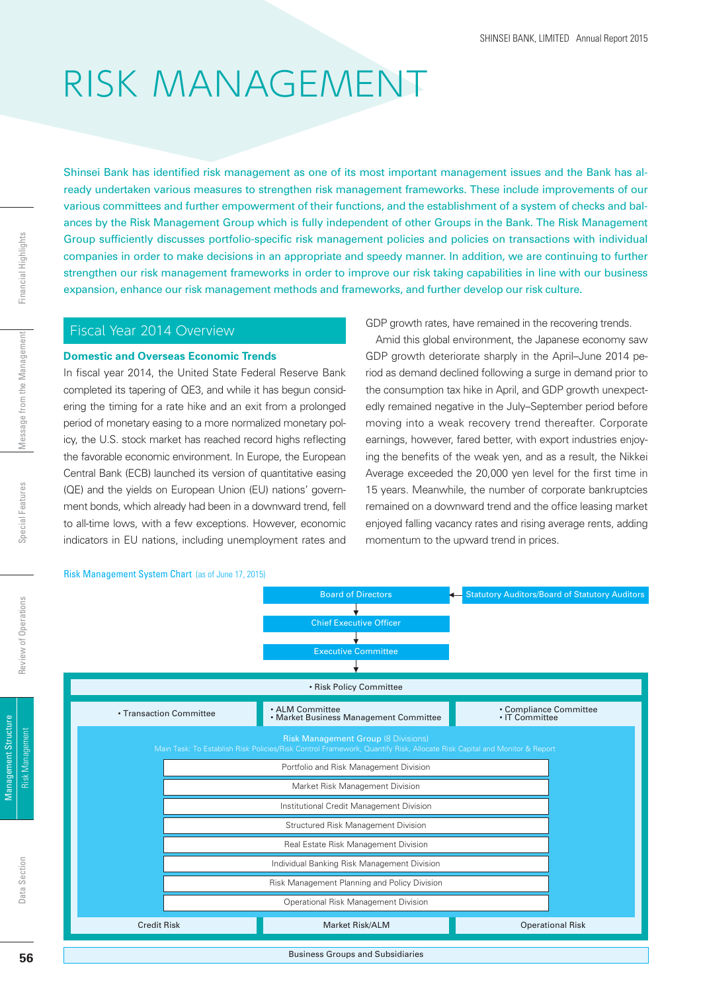# RISK MANAGEMENT

Shinsei Bank has identified risk management as one of its most important management issues and the Bank has already undertaken various measures to strengthen risk management frameworks. These include improvements of our various committees and further empowerment of their functions, and the establishment of a system of checks and balances by the Risk Management Group which is fully independent of other Groups in the Bank. The Risk Management Group sufficiently discusses portfolio-specific risk management policies and policies on transactions with individual companies in order to make decisions in an appropriate and speedy manner. In addition, we are continuing to further strengthen our risk management frameworks in order to improve our risk taking capabilities in line with our business expansion, enhance our risk management methods and frameworks, and further develop our risk culture.

#### Fiscal Year 2014 Overview

#### **Domestic and Overseas Economic Trends**

In fiscal year 2014, the United State Federal Reserve Bank completed its tapering of QE3, and while it has begun considering the timing for a rate hike and an exit from a prolonged period of monetary easing to a more normalized monetary policy, the U.S. stock market has reached record highs reflecting the favorable economic environment. In Europe, the European Central Bank (ECB) launched its version of quantitative easing (QE) and the yields on European Union (EU) nations' government bonds, which already had been in a downward trend, fell to all-time lows, with a few exceptions. However, economic indicators in EU nations, including unemployment rates and

#### GDP growth rates, have remained in the recovering trends.

Amid this global environment, the Japanese economy saw GDP growth deteriorate sharply in the April–June 2014 period as demand declined following a surge in demand prior to the consumption tax hike in April, and GDP growth unexpectedly remained negative in the July–September period before moving into a weak recovery trend thereafter. Corporate earnings, however, fared better, with export industries enjoying the benefits of the weak yen, and as a result, the Nikkei Average exceeded the 20,000 yen level for the first time in 15 years. Meanwhile, the number of corporate bankruptcies remained on a downward trend and the office leasing market enjoyed falling vacancy rates and rising average rents, adding momentum to the upward trend in prices.



Data Section

Data Section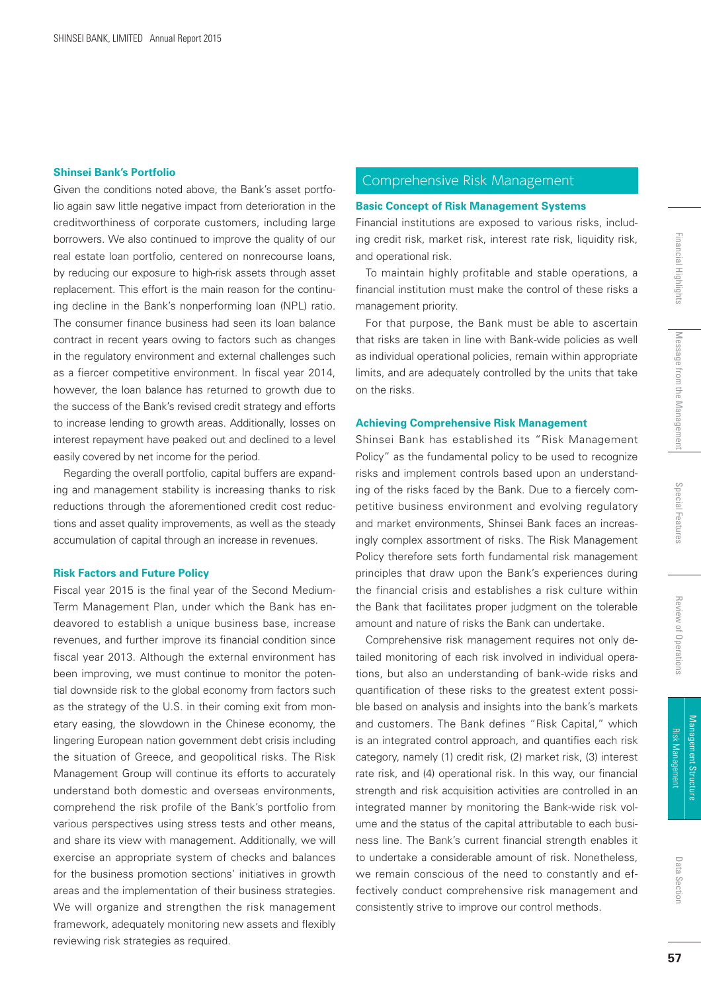#### **Shinsei Bank's Portfolio**

Given the conditions noted above, the Bank's asset portfolio again saw little negative impact from deterioration in the creditworthiness of corporate customers, including large borrowers. We also continued to improve the quality of our real estate loan portfolio, centered on nonrecourse loans, by reducing our exposure to high-risk assets through asset replacement. This effort is the main reason for the continuing decline in the Bank's nonperforming loan (NPL) ratio. The consumer finance business had seen its loan balance contract in recent years owing to factors such as changes in the regulatory environment and external challenges such as a fiercer competitive environment. In fiscal year 2014, however, the loan balance has returned to growth due to the success of the Bank's revised credit strategy and efforts to increase lending to growth areas. Additionally, losses on interest repayment have peaked out and declined to a level easily covered by net income for the period.

Regarding the overall portfolio, capital buffers are expanding and management stability is increasing thanks to risk reductions through the aforementioned credit cost reductions and asset quality improvements, as well as the steady accumulation of capital through an increase in revenues.

#### **Risk Factors and Future Policy**

Fiscal year 2015 is the final year of the Second Medium-Term Management Plan, under which the Bank has endeavored to establish a unique business base, increase revenues, and further improve its financial condition since fiscal year 2013. Although the external environment has been improving, we must continue to monitor the potential downside risk to the global economy from factors such as the strategy of the U.S. in their coming exit from monetary easing, the slowdown in the Chinese economy, the lingering European nation government debt crisis including the situation of Greece, and geopolitical risks. The Risk Management Group will continue its efforts to accurately understand both domestic and overseas environments, comprehend the risk profile of the Bank's portfolio from various perspectives using stress tests and other means, and share its view with management. Additionally, we will exercise an appropriate system of checks and balances for the business promotion sections' initiatives in growth areas and the implementation of their business strategies. We will organize and strengthen the risk management framework, adequately monitoring new assets and flexibly reviewing risk strategies as required.

#### Comprehensive Risk Management

#### **Basic Concept of Risk Management Systems**

Financial institutions are exposed to various risks, including credit risk, market risk, interest rate risk, liquidity risk, and operational risk.

To maintain highly profitable and stable operations, a financial institution must make the control of these risks a management priority.

For that purpose, the Bank must be able to ascertain that risks are taken in line with Bank-wide policies as well as individual operational policies, remain within appropriate limits, and are adequately controlled by the units that take on the risks.

#### **Achieving Comprehensive Risk Management**

Shinsei Bank has established its "Risk Management Policy" as the fundamental policy to be used to recognize risks and implement controls based upon an understanding of the risks faced by the Bank. Due to a fiercely competitive business environment and evolving regulatory and market environments, Shinsei Bank faces an increasingly complex assortment of risks. The Risk Management Policy therefore sets forth fundamental risk management principles that draw upon the Bank's experiences during the financial crisis and establishes a risk culture within the Bank that facilitates proper judgment on the tolerable amount and nature of risks the Bank can undertake.

Comprehensive risk management requires not only detailed monitoring of each risk involved in individual operations, but also an understanding of bank-wide risks and quantification of these risks to the greatest extent possible based on analysis and insights into the bank's markets and customers. The Bank defines "Risk Capital," which is an integrated control approach, and quantifies each risk category, namely (1) credit risk, (2) market risk, (3) interest rate risk, and (4) operational risk. In this way, our financial strength and risk acquisition activities are controlled in an integrated manner by monitoring the Bank-wide risk volume and the status of the capital attributable to each business line. The Bank's current financial strength enables it to undertake a considerable amount of risk. Nonetheless, we remain conscious of the need to constantly and effectively conduct comprehensive risk management and consistently strive to improve our control methods.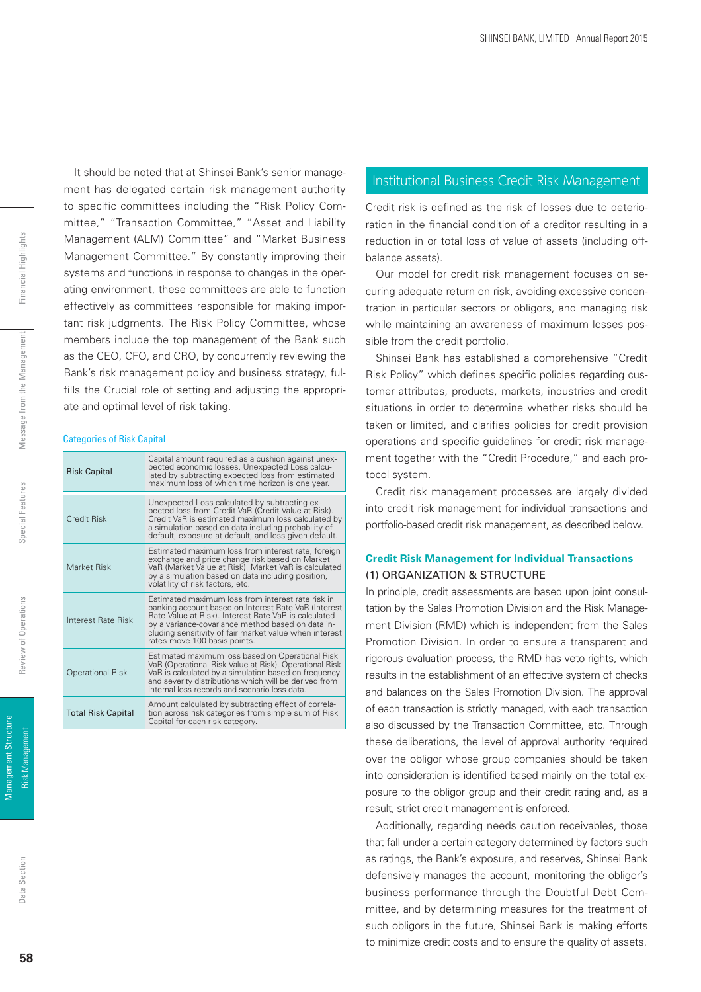Financial Highlights

Risk Management Financial Highlights Management Special Features Review of Operations Review of Descriptions and Memorial Highlights Message from the Management

It should be noted that at Shinsei Bank's senior management has delegated certain risk management authority to specific committees including the "Risk Policy Committee," "Transaction Committee," "Asset and Liability Management (ALM) Committee" and "Market Business Management Committee." By constantly improving their systems and functions in response to changes in the operating environment, these committees are able to function effectively as committees responsible for making important risk judgments. The Risk Policy Committee, whose members include the top management of the Bank such as the CEO, CFO, and CRO, by concurrently reviewing the Bank's risk management policy and business strategy, fulfills the Crucial role of setting and adjusting the appropriate and optimal level of risk taking.

#### Categories of Risk Capital

| <b>Risk Capital</b>       | Capital amount required as a cushion against unex-<br>pected economic losses. Unexpected Loss calcu-<br>lated by subtracting expected loss from estimated<br>maximum loss of which time horizon is one year.                                                                                                     |
|---------------------------|------------------------------------------------------------------------------------------------------------------------------------------------------------------------------------------------------------------------------------------------------------------------------------------------------------------|
| <b>Credit Risk</b>        | Unexpected Loss calculated by subtracting ex-<br>pected loss from Credit VaR (Credit Value at Risk).<br>Credit VaR is estimated maximum loss calculated by<br>a simulation based on data including probability of<br>default, exposure at default, and loss given default.                                       |
| Market Risk               | Estimated maximum loss from interest rate, foreign<br>exchange and price change risk based on Market<br>VaR (Market Value at Risk). Market VaR is calculated<br>by a simulation based on data including position,<br>volatility of risk factors, etc.                                                            |
| Interest Rate Risk        | Estimated maximum loss from interest rate risk in<br>banking account based on Interest Rate VaR (Interest<br>Rate Value at Risk). Interest Rate VaR is calculated<br>by a variance-covariance method based on data in-<br>cluding sensitivity of fair market value when interest<br>rates move 100 basis points. |
| <b>Operational Risk</b>   | Estimated maximum loss based on Operational Risk<br>VaR (Operational Risk Value at Risk). Operational Risk<br>VaR is calculated by a simulation based on frequency<br>and severity distributions which will be derived from<br>internal loss records and scenario loss data.                                     |
| <b>Total Risk Capital</b> | Amount calculated by subtracting effect of correla-<br>tion across risk categories from simple sum of Risk<br>Capital for each risk category.                                                                                                                                                                    |

#### Institutional Business Credit Risk Management

Credit risk is defined as the risk of losses due to deterioration in the financial condition of a creditor resulting in a reduction in or total loss of value of assets (including offbalance assets).

Our model for credit risk management focuses on securing adequate return on risk, avoiding excessive concentration in particular sectors or obligors, and managing risk while maintaining an awareness of maximum losses possible from the credit portfolio.

Shinsei Bank has established a comprehensive "Credit Risk Policy" which defines specific policies regarding customer attributes, products, markets, industries and credit situations in order to determine whether risks should be taken or limited, and clarifies policies for credit provision operations and specific guidelines for credit risk management together with the "Credit Procedure," and each protocol system.

Credit risk management processes are largely divided into credit risk management for individual transactions and portfolio-based credit risk management, as described below.

#### **Credit Risk Management for Individual Transactions** (1) ORGANIZATION & STRUCTURE

In principle, credit assessments are based upon joint consultation by the Sales Promotion Division and the Risk Management Division (RMD) which is independent from the Sales Promotion Division. In order to ensure a transparent and rigorous evaluation process, the RMD has veto rights, which results in the establishment of an effective system of checks and balances on the Sales Promotion Division. The approval of each transaction is strictly managed, with each transaction also discussed by the Transaction Committee, etc. Through these deliberations, the level of approval authority required over the obligor whose group companies should be taken into consideration is identified based mainly on the total exposure to the obligor group and their credit rating and, as a result, strict credit management is enforced.

Additionally, regarding needs caution receivables, those that fall under a certain category determined by factors such as ratings, the Bank's exposure, and reserves, Shinsei Bank defensively manages the account, monitoring the obligor's business performance through the Doubtful Debt Committee, and by determining measures for the treatment of such obligors in the future, Shinsei Bank is making efforts to minimize credit costs and to ensure the quality of assets.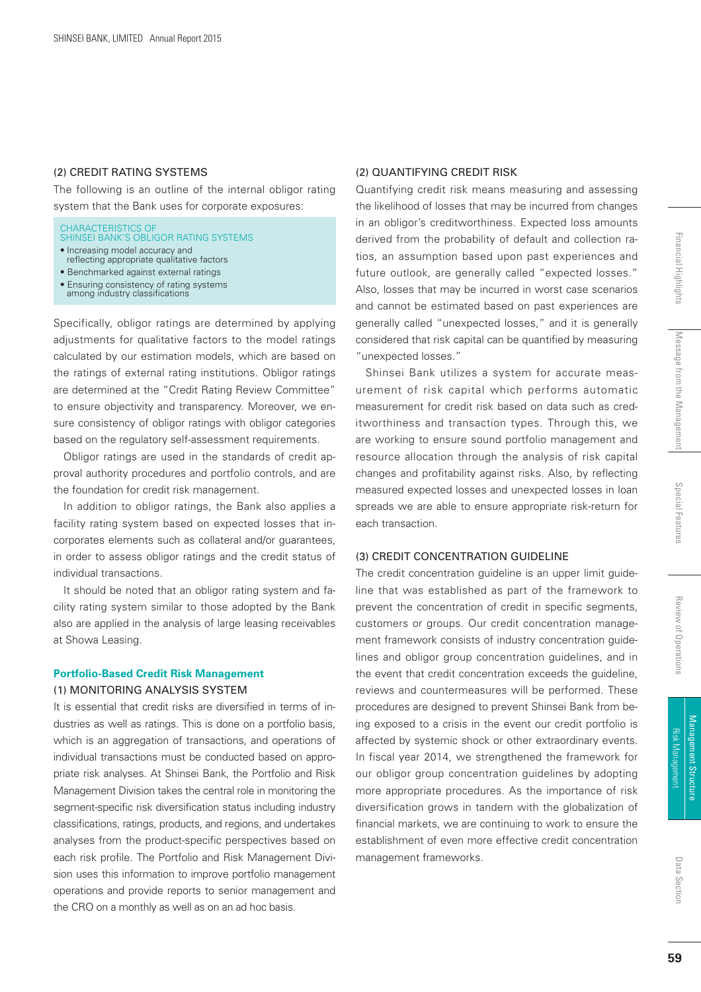#### (2) CREDIT RATING SYSTEMS

The following is an outline of the internal obligor rating system that the Bank uses for corporate exposures:

CHARACTERISTICS OF SHINSEI BANK'S OBLIGOR RATING SYSTEMS • Increasing model accuracy and

- reflecting appropriate qualitative factors
- Benchmarked against external ratings
- Ensuring consistency of rating systems<br>among industry classifications

Specifically, obligor ratings are determined by applying adjustments for qualitative factors to the model ratings calculated by our estimation models, which are based on the ratings of external rating institutions. Obligor ratings are determined at the "Credit Rating Review Committee" to ensure objectivity and transparency. Moreover, we ensure consistency of obligor ratings with obligor categories based on the regulatory self-assessment requirements.

Obligor ratings are used in the standards of credit approval authority procedures and portfolio controls, and are the foundation for credit risk management.

In addition to obligor ratings, the Bank also applies a facility rating system based on expected losses that incorporates elements such as collateral and/or guarantees, in order to assess obligor ratings and the credit status of individual transactions.

It should be noted that an obligor rating system and facility rating system similar to those adopted by the Bank also are applied in the analysis of large leasing receivables at Showa Leasing.

#### **Portfolio-Based Credit Risk Management** (1) MONITORING ANALYSIS SYSTEM

It is essential that credit risks are diversified in terms of industries as well as ratings. This is done on a portfolio basis, which is an aggregation of transactions, and operations of individual transactions must be conducted based on appropriate risk analyses. At Shinsei Bank, the Portfolio and Risk Management Division takes the central role in monitoring the segment-specific risk diversification status including industry classifications, ratings, products, and regions, and undertakes analyses from the product-specific perspectives based on each risk profile. The Portfolio and Risk Management Division uses this information to improve portfolio management operations and provide reports to senior management and the CRO on a monthly as well as on an ad hoc basis.

#### (2) QUANTIFYING CREDIT RISK

Quantifying credit risk means measuring and assessing the likelihood of losses that may be incurred from changes in an obligor's creditworthiness. Expected loss amounts derived from the probability of default and collection ratios, an assumption based upon past experiences and future outlook, are generally called "expected losses." Also, losses that may be incurred in worst case scenarios and cannot be estimated based on past experiences are generally called "unexpected losses," and it is generally considered that risk capital can be quantified by measuring "unexpected losses."

Shinsei Bank utilizes a system for accurate measurement of risk capital which performs automatic measurement for credit risk based on data such as creditworthiness and transaction types. Through this, we are working to ensure sound portfolio management and resource allocation through the analysis of risk capital changes and profitability against risks. Also, by reflecting measured expected losses and unexpected losses in loan spreads we are able to ensure appropriate risk-return for each transaction.

#### (3) CREDIT CONCENTRATION GUIDELINE

The credit concentration guideline is an upper limit guideline that was established as part of the framework to prevent the concentration of credit in specific segments, customers or groups. Our credit concentration management framework consists of industry concentration guidelines and obligor group concentration guidelines, and in the event that credit concentration exceeds the guideline, reviews and countermeasures will be performed. These procedures are designed to prevent Shinsei Bank from being exposed to a crisis in the event our credit portfolio is affected by systemic shock or other extraordinary events. In fiscal year 2014, we strengthened the framework for our obligor group concentration guidelines by adopting more appropriate procedures. As the importance of risk diversification grows in tandem with the globalization of financial markets, we are continuing to work to ensure the establishment of even more effective credit concentration management frameworks.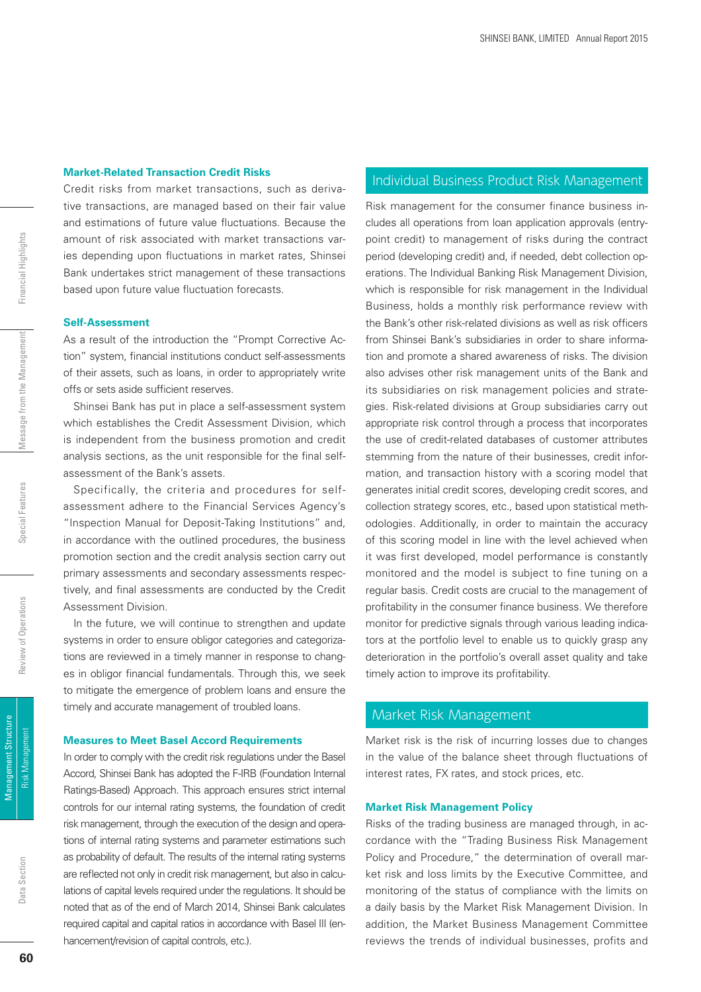#### **Market-Related Transaction Credit Risks**

Credit risks from market transactions, such as derivative transactions, are managed based on their fair value and estimations of future value fluctuations. Because the amount of risk associated with market transactions varies depending upon fluctuations in market rates, Shinsei Bank undertakes strict management of these transactions based upon future value fluctuation forecasts.

#### **Self-Assessment**

As a result of the introduction the "Prompt Corrective Action" system, financial institutions conduct self-assessments of their assets, such as loans, in order to appropriately write offs or sets aside sufficient reserves.

Shinsei Bank has put in place a self-assessment system which establishes the Credit Assessment Division, which is independent from the business promotion and credit analysis sections, as the unit responsible for the final selfassessment of the Bank's assets.

Specifically, the criteria and procedures for selfassessment adhere to the Financial Services Agency's "Inspection Manual for Deposit-Taking Institutions" and, in accordance with the outlined procedures, the business promotion section and the credit analysis section carry out primary assessments and secondary assessments respectively, and final assessments are conducted by the Credit Assessment Division.

In the future, we will continue to strengthen and update systems in order to ensure obligor categories and categorizations are reviewed in a timely manner in response to changes in obligor financial fundamentals. Through this, we seek to mitigate the emergence of problem loans and ensure the timely and accurate management of troubled loans.

#### **Measures to Meet Basel Accord Requirements**

In order to comply with the credit risk regulations under the Basel Accord, Shinsei Bank has adopted the F-IRB (Foundation Internal Ratings-Based) Approach. This approach ensures strict internal controls for our internal rating systems, the foundation of credit risk management, through the execution of the design and operations of internal rating systems and parameter estimations such as probability of default. The results of the internal rating systems are reflected not only in credit risk management, but also in calculations of capital levels required under the regulations. It should be noted that as of the end of March 2014, Shinsei Bank calculates required capital and capital ratios in accordance with Basel III (enhancement/revision of capital controls, etc.).

#### Individual Business Product Risk Management

Risk management for the consumer finance business includes all operations from loan application approvals (entrypoint credit) to management of risks during the contract period (developing credit) and, if needed, debt collection operations. The Individual Banking Risk Management Division, which is responsible for risk management in the Individual Business, holds a monthly risk performance review with the Bank's other risk-related divisions as well as risk officers from Shinsei Bank's subsidiaries in order to share information and promote a shared awareness of risks. The division also advises other risk management units of the Bank and its subsidiaries on risk management policies and strategies. Risk-related divisions at Group subsidiaries carry out appropriate risk control through a process that incorporates the use of credit-related databases of customer attributes stemming from the nature of their businesses, credit information, and transaction history with a scoring model that generates initial credit scores, developing credit scores, and collection strategy scores, etc., based upon statistical methodologies. Additionally, in order to maintain the accuracy of this scoring model in line with the level achieved when it was first developed, model performance is constantly monitored and the model is subject to fine tuning on a regular basis. Credit costs are crucial to the management of profitability in the consumer finance business. We therefore monitor for predictive signals through various leading indicators at the portfolio level to enable us to quickly grasp any deterioration in the portfolio's overall asset quality and take timely action to improve its profitability.

#### Market Risk Management

Market risk is the risk of incurring losses due to changes in the value of the balance sheet through fluctuations of interest rates, FX rates, and stock prices, etc.

#### **Market Risk Management Policy**

Risks of the trading business are managed through, in accordance with the "Trading Business Risk Management Policy and Procedure," the determination of overall market risk and loss limits by the Executive Committee, and monitoring of the status of compliance with the limits on a daily basis by the Market Risk Management Division. In addition, the Market Business Management Committee reviews the trends of individual businesses, profits and

Management Structure

Management Structure **Risk Management**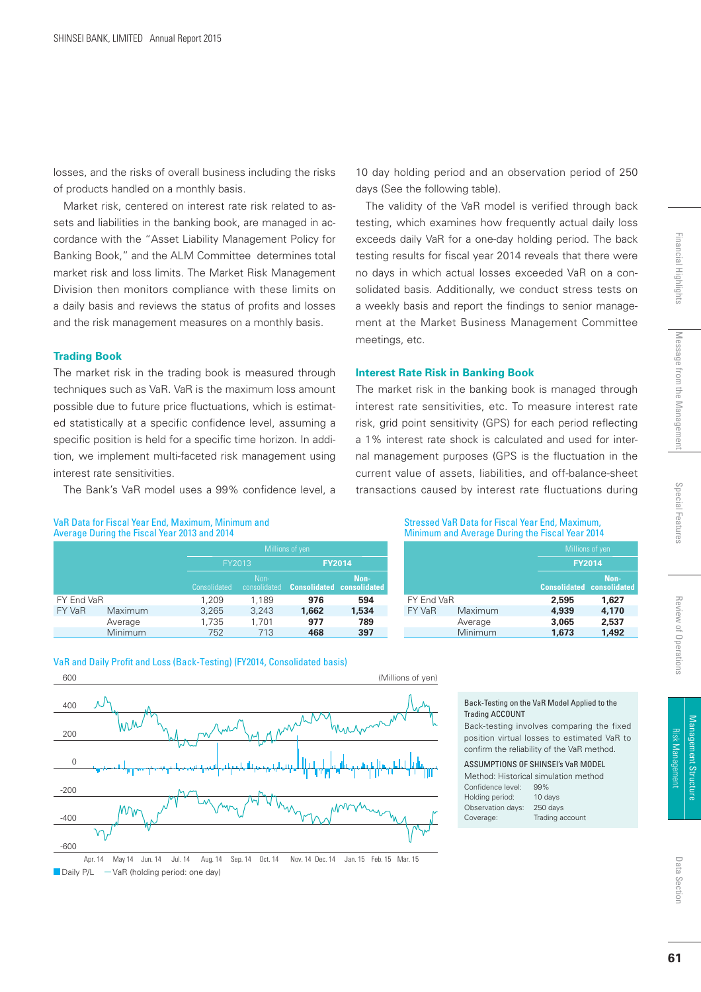losses, and the risks of overall business including the risks of products handled on a monthly basis.

Market risk, centered on interest rate risk related to assets and liabilities in the banking book, are managed in accordance with the "Asset Liability Management Policy for Banking Book," and the ALM Committee determines total market risk and loss limits. The Market Risk Management Division then monitors compliance with these limits on a daily basis and reviews the status of profits and losses and the risk management measures on a monthly basis.

#### **Trading Book**

The market risk in the trading book is measured through techniques such as VaR. VaR is the maximum loss amount possible due to future price fluctuations, which is estimated statistically at a specific confidence level, assuming a specific position is held for a specific time horizon. In addition, we implement multi-faceted risk management using interest rate sensitivities.

The Bank's VaR model uses a 99% confidence level, a

#### VaR Data for Fiscal Year End, Maximum, Minimum and Average During the Fiscal Year 2013 and 2014

|            |                |              | Millions of yen      |                                  |               |
|------------|----------------|--------------|----------------------|----------------------------------|---------------|
|            |                |              | FY2013               |                                  | <b>FY2014</b> |
|            |                | Consolidated | Non-<br>consolidated | <b>Consolidated consolidated</b> | Non-          |
| FY End VaR |                | 1,209        | 1,189                | 976                              | 594           |
| FY VaR     | Maximum        | 3,265        | 3,243                | 1,662                            | 1,534         |
|            | Average        | 1,735        | 1,701                | 977                              | 789           |
|            | <b>Minimum</b> | 752          | 713                  | 468                              | 397           |

VaR and Daily Profit and Loss (Back-Testing) (FY2014, Consolidated basis)



Daily  $P/L - VaR$  (holding period: one day) Apr. 14 May 14 Jun. 14 Jul. 14 Aug. 14 Sep. 14 Oct. 14 Nov. 14 Dec. 14 Jan. 15 Feb. 15 Mar. 15

10 day holding period and an observation period of 250 days (See the following table).

The validity of the VaR model is verified through back testing, which examines how frequently actual daily loss exceeds daily VaR for a one-day holding period. The back testing results for fiscal year 2014 reveals that there were no days in which actual losses exceeded VaR on a consolidated basis. Additionally, we conduct stress tests on a weekly basis and report the findings to senior management at the Market Business Management Committee meetings, etc.

#### **Interest Rate Risk in Banking Book**

The market risk in the banking book is managed through interest rate sensitivities, etc. To measure interest rate risk, grid point sensitivity (GPS) for each period reflecting a 1% interest rate shock is calculated and used for internal management purposes (GPS is the fluctuation in the current value of assets, liabilities, and off-balance-sheet transactions caused by interest rate fluctuations during

#### Stressed VaR Data for Fiscal Year End, Maximum, Minimum and Average During the Fiscal Year 2014

|            |         | Millions of yen |                                          |
|------------|---------|-----------------|------------------------------------------|
|            |         | <b>FY2014</b>   |                                          |
|            |         |                 | Non-<br><b>Consolidated consolidated</b> |
| FY End VaR |         | 2,595           | 1.627                                    |
| FY VaR     | Maximum | 4.939           | 4,170                                    |
|            | Average | 3,065           | 2,537                                    |
|            | Minimum | 1.673           | 1.492                                    |

#### Back-Testing on the VaR Model Applied to the Trading ACCOUNT Back-testing involves comparing the fixed position virtual losses to estimated VaR to confirm the reliability of the VaR method. ASSUMPTIONS OF SHINSEI's VaR MODEL Method: Historical simulation method Confidence level: 99% Holding period: 10 days Observation days: 250 days

Coverage: Trading account

Financial Highlights

Review of Operations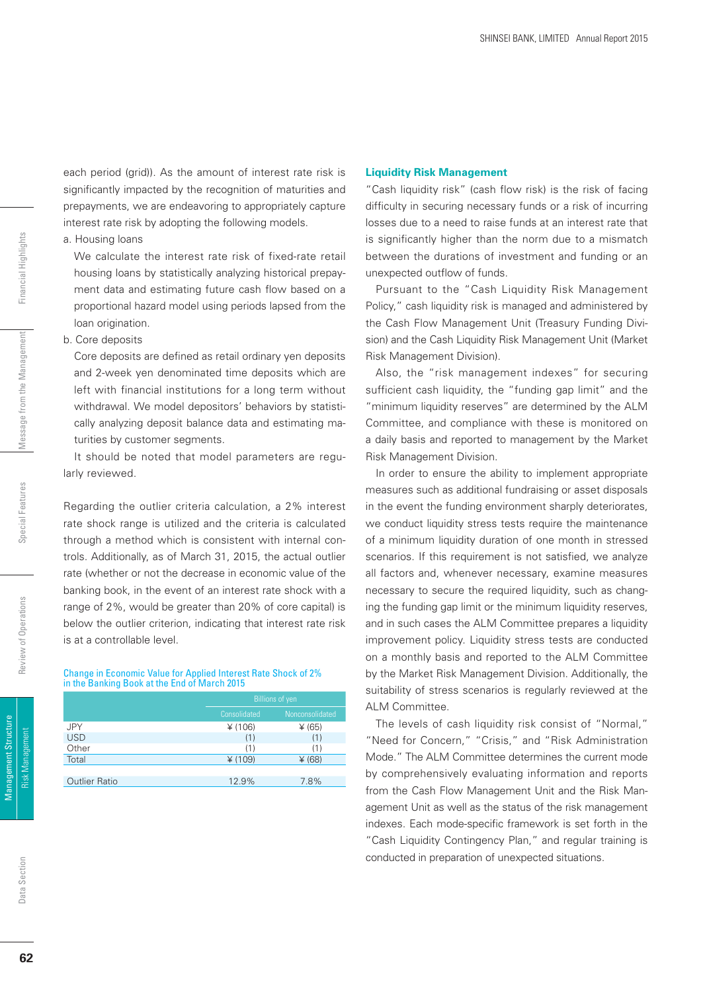each period (grid)). As the amount of interest rate risk is significantly impacted by the recognition of maturities and prepayments, we are endeavoring to appropriately capture interest rate risk by adopting the following models.

a. Housing loans

 We calculate the interest rate risk of fixed-rate retail housing loans by statistically analyzing historical prepayment data and estimating future cash flow based on a proportional hazard model using periods lapsed from the loan origination.

#### b. Core deposits

Core deposits are defined as retail ordinary yen deposits and 2-week yen denominated time deposits which are left with financial institutions for a long term without withdrawal. We model depositors' behaviors by statistically analyzing deposit balance data and estimating maturities by customer segments.

 It should be noted that model parameters are regularly reviewed.

Regarding the outlier criteria calculation, a 2% interest rate shock range is utilized and the criteria is calculated through a method which is consistent with internal controls. Additionally, as of March 31, 2015, the actual outlier rate (whether or not the decrease in economic value of the banking book, in the event of an interest rate shock with a range of 2%, would be greater than 20% of core capital) is below the outlier criterion, indicating that interest rate risk is at a controllable level.

#### Change in Economic Value for Applied Interest Rate Shock of 2% in the Banking Book at the End of March 2015

|                      | <b>Billions of yen</b> |                 |  |
|----------------------|------------------------|-----------------|--|
|                      | Consolidated           | Nonconsolidated |  |
| <b>JPY</b>           | ¥ (106)                | ¥ (65)          |  |
| <b>USD</b>           | (1)                    | (1)             |  |
| Other                | (1)                    | (1)             |  |
| Total                | ¥ (109)                | $*(68)$         |  |
|                      |                        |                 |  |
| <b>Outlier Ratio</b> | 12.9%                  | 7.8%            |  |

#### **Liquidity Risk Management**

"Cash liquidity risk" (cash flow risk) is the risk of facing difficulty in securing necessary funds or a risk of incurring losses due to a need to raise funds at an interest rate that is significantly higher than the norm due to a mismatch between the durations of investment and funding or an unexpected outflow of funds.

Pursuant to the "Cash Liquidity Risk Management Policy," cash liquidity risk is managed and administered by the Cash Flow Management Unit (Treasury Funding Division) and the Cash Liquidity Risk Management Unit (Market Risk Management Division).

Also, the "risk management indexes" for securing sufficient cash liquidity, the "funding gap limit" and the "minimum liquidity reserves" are determined by the ALM Committee, and compliance with these is monitored on a daily basis and reported to management by the Market Risk Management Division.

In order to ensure the ability to implement appropriate measures such as additional fundraising or asset disposals in the event the funding environment sharply deteriorates, we conduct liquidity stress tests require the maintenance of a minimum liquidity duration of one month in stressed scenarios. If this requirement is not satisfied, we analyze all factors and, whenever necessary, examine measures necessary to secure the required liquidity, such as changing the funding gap limit or the minimum liquidity reserves, and in such cases the ALM Committee prepares a liquidity improvement policy. Liquidity stress tests are conducted on a monthly basis and reported to the ALM Committee by the Market Risk Management Division. Additionally, the suitability of stress scenarios is regularly reviewed at the ALM Committee.

The levels of cash liquidity risk consist of "Normal," "Need for Concern," "Crisis," and "Risk Administration Mode." The ALM Committee determines the current mode by comprehensively evaluating information and reports from the Cash Flow Management Unit and the Risk Management Unit as well as the status of the risk management indexes. Each mode-specific framework is set forth in the "Cash Liquidity Contingency Plan," and regular training is conducted in preparation of unexpected situations.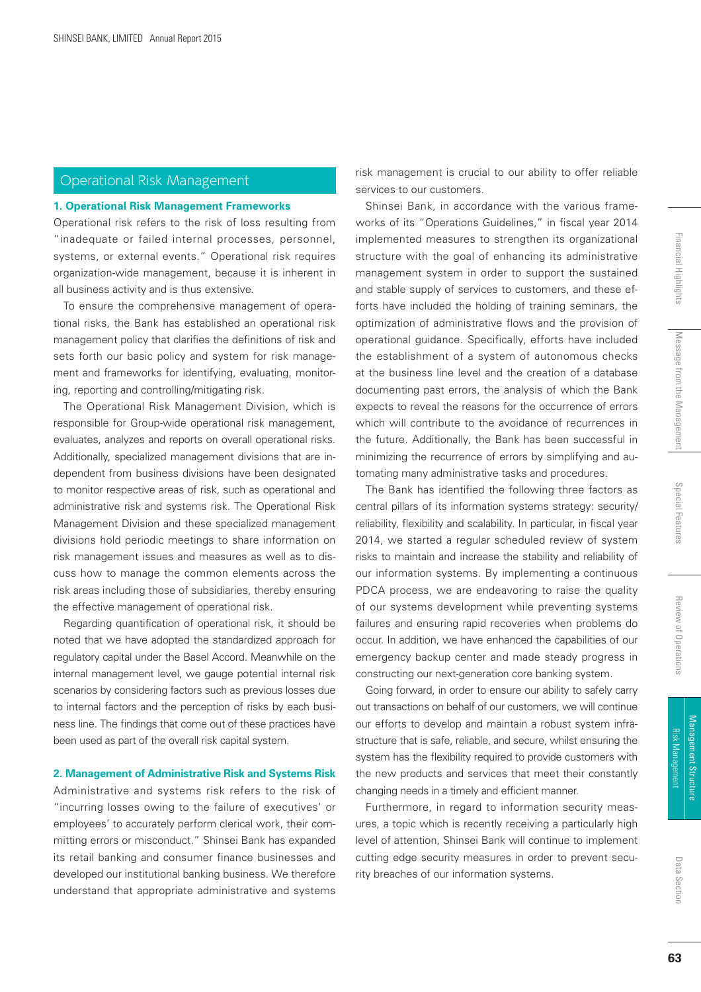### Operational Risk Management

#### **1. Operational Risk Management Frameworks**

Operational risk refers to the risk of loss resulting from "inadequate or failed internal processes, personnel, systems, or external events." Operational risk requires organization-wide management, because it is inherent in all business activity and is thus extensive.

To ensure the comprehensive management of operational risks, the Bank has established an operational risk management policy that clarifies the definitions of risk and sets forth our basic policy and system for risk management and frameworks for identifying, evaluating, monitoring, reporting and controlling/mitigating risk.

The Operational Risk Management Division, which is responsible for Group-wide operational risk management, evaluates, analyzes and reports on overall operational risks. Additionally, specialized management divisions that are independent from business divisions have been designated to monitor respective areas of risk, such as operational and administrative risk and systems risk. The Operational Risk Management Division and these specialized management divisions hold periodic meetings to share information on risk management issues and measures as well as to discuss how to manage the common elements across the risk areas including those of subsidiaries, thereby ensuring the effective management of operational risk.

Regarding quantification of operational risk, it should be noted that we have adopted the standardized approach for regulatory capital under the Basel Accord. Meanwhile on the internal management level, we gauge potential internal risk scenarios by considering factors such as previous losses due to internal factors and the perception of risks by each business line. The findings that come out of these practices have been used as part of the overall risk capital system.

#### **2. Management of Administrative Risk and Systems Risk**

Administrative and systems risk refers to the risk of "incurring losses owing to the failure of executives' or employees' to accurately perform clerical work, their committing errors or misconduct." Shinsei Bank has expanded its retail banking and consumer finance businesses and developed our institutional banking business. We therefore understand that appropriate administrative and systems

risk management is crucial to our ability to offer reliable services to our customers.

Shinsei Bank, in accordance with the various frameworks of its "Operations Guidelines," in fiscal year 2014 implemented measures to strengthen its organizational structure with the goal of enhancing its administrative management system in order to support the sustained and stable supply of services to customers, and these efforts have included the holding of training seminars, the optimization of administrative flows and the provision of operational guidance. Specifically, efforts have included the establishment of a system of autonomous checks at the business line level and the creation of a database documenting past errors, the analysis of which the Bank expects to reveal the reasons for the occurrence of errors which will contribute to the avoidance of recurrences in the future. Additionally, the Bank has been successful in minimizing the recurrence of errors by simplifying and automating many administrative tasks and procedures.

The Bank has identified the following three factors as central pillars of its information systems strategy: security/ reliability, flexibility and scalability. In particular, in fiscal year 2014, we started a regular scheduled review of system risks to maintain and increase the stability and reliability of our information systems. By implementing a continuous PDCA process, we are endeavoring to raise the quality of our systems development while preventing systems failures and ensuring rapid recoveries when problems do occur. In addition, we have enhanced the capabilities of our emergency backup center and made steady progress in constructing our next-generation core banking system.

Going forward, in order to ensure our ability to safely carry out transactions on behalf of our customers, we will continue our efforts to develop and maintain a robust system infrastructure that is safe, reliable, and secure, whilst ensuring the system has the flexibility required to provide customers with the new products and services that meet their constantly changing needs in a timely and efficient manner.

Furthermore, in regard to information security measures, a topic which is recently receiving a particularly high level of attention, Shinsei Bank will continue to implement cutting edge security measures in order to prevent security breaches of our information systems.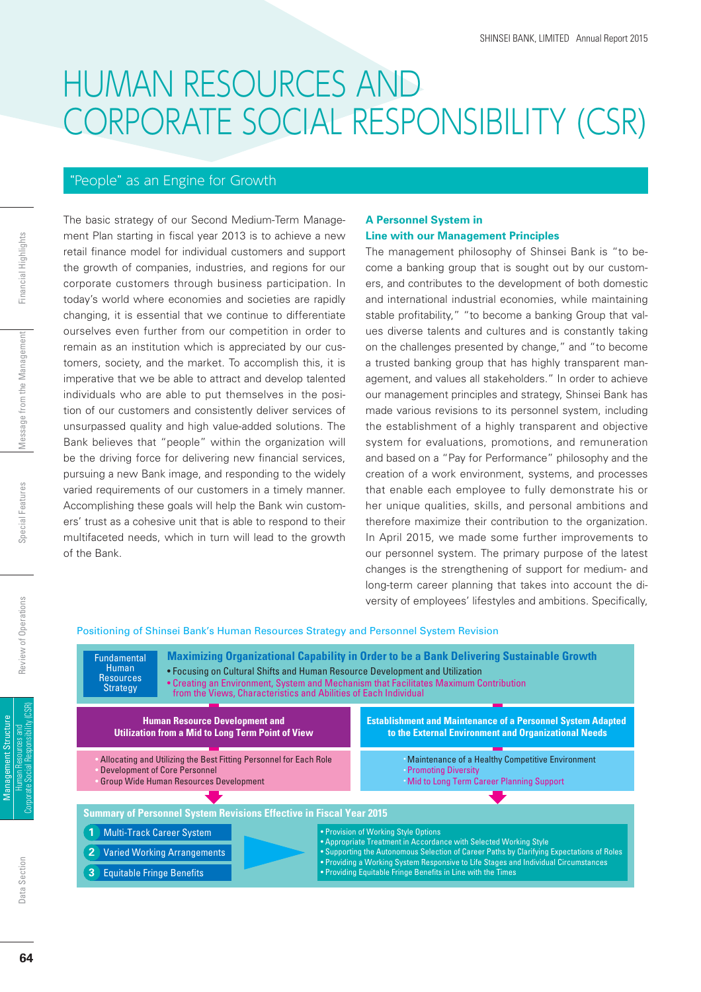## HUMAN RESOURCES AND CORPORATE SOCIAL RESPONSIBILITY (CSR)

#### "People" as an Engine for Growth

The basic strategy of our Second Medium-Term Management Plan starting in fiscal year 2013 is to achieve a new retail finance model for individual customers and support the growth of companies, industries, and regions for our corporate customers through business participation. In today's world where economies and societies are rapidly changing, it is essential that we continue to differentiate ourselves even further from our competition in order to remain as an institution which is appreciated by our customers, society, and the market. To accomplish this, it is imperative that we be able to attract and develop talented individuals who are able to put themselves in the position of our customers and consistently deliver services of unsurpassed quality and high value-added solutions. The Bank believes that "people" within the organization will be the driving force for delivering new financial services, pursuing a new Bank image, and responding to the widely varied requirements of our customers in a timely manner. Accomplishing these goals will help the Bank win customers' trust as a cohesive unit that is able to respond to their multifaceted needs, which in turn will lead to the growth of the Bank.

#### **A Personnel System in Line with our Management Principles**

The management philosophy of Shinsei Bank is "to become a banking group that is sought out by our customers, and contributes to the development of both domestic and international industrial economies, while maintaining stable profitability," "to become a banking Group that values diverse talents and cultures and is constantly taking on the challenges presented by change," and "to become a trusted banking group that has highly transparent management, and values all stakeholders." In order to achieve our management principles and strategy, Shinsei Bank has made various revisions to its personnel system, including the establishment of a highly transparent and objective system for evaluations, promotions, and remuneration and based on a "Pay for Performance" philosophy and the creation of a work environment, systems, and processes that enable each employee to fully demonstrate his or her unique qualities, skills, and personal ambitions and therefore maximize their contribution to the organization. In April 2015, we made some further improvements to our personnel system. The primary purpose of the latest changes is the strengthening of support for medium- and long-term career planning that takes into account the diversity of employees' lifestyles and ambitions. Specifically,

#### Positioning of Shinsei Bank's Human Resources Strategy and Personnel System Revision

**Maximizing Organizational Capability in Order to be a Bank Delivering Sustainable Growth Summary of Personnel System Revisions Effective in Fiscal Year 2015** • Focusing on Cultural Shifts and Human Resource Development and Utilization • Creating an Environment, System and Mechanism that Facilitates Maximum Contribution from the Views, Characteristics and Abilities of Each Individual • Provision of Working Style Options • Appropriate Treatment in Accordance with Selected Working Style • Supporting the Autonomous Selection of Career Paths by Clarifying Expectations of Roles • Providing a Working System Responsive to Life Stages and Individual Circumstances • Providing Equitable Fringe Benefits in Line with the Times **Human Resource Development and Utilization from a Mid to Long Term Point of View** Allocating and Utilizing the Best Fitting Personnel for Each Role Development of Core Personnel Group Wide Human Resources Development Maintenance of a Healthy Competitive Environment **Promoting Diversity Mid to Long Term Career Planning Support Establishment and Maintenance of a Personnel System Adapted to the External Environment and Organizational Needs** Fundamental Human **Resources** Strategy **1** Multi-Track Career System **2** Varied Working Arrangements **Equitable Fringe Benefits**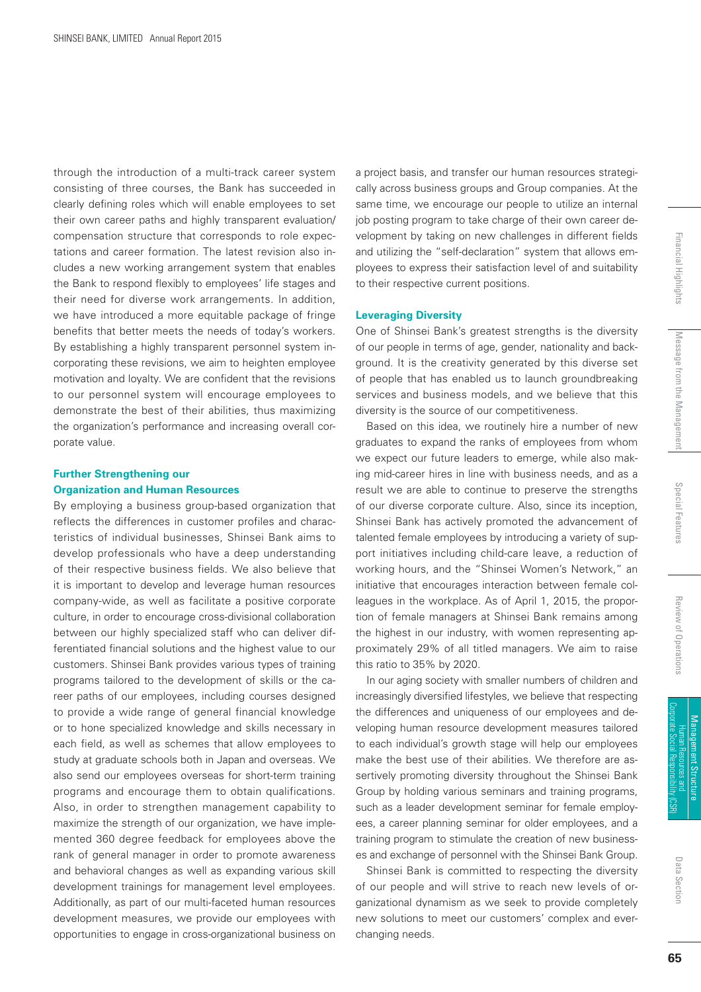through the introduction of a multi-track career system consisting of three courses, the Bank has succeeded in clearly defining roles which will enable employees to set their own career paths and highly transparent evaluation/ compensation structure that corresponds to role expectations and career formation. The latest revision also includes a new working arrangement system that enables the Bank to respond flexibly to employees' life stages and their need for diverse work arrangements. In addition, we have introduced a more equitable package of fringe benefits that better meets the needs of today's workers. By establishing a highly transparent personnel system incorporating these revisions, we aim to heighten employee motivation and loyalty. We are confident that the revisions to our personnel system will encourage employees to demonstrate the best of their abilities, thus maximizing the organization's performance and increasing overall corporate value.

#### **Further Strengthening our Organization and Human Resources**

By employing a business group-based organization that reflects the differences in customer profiles and characteristics of individual businesses, Shinsei Bank aims to develop professionals who have a deep understanding of their respective business fields. We also believe that it is important to develop and leverage human resources company-wide, as well as facilitate a positive corporate culture, in order to encourage cross-divisional collaboration between our highly specialized staff who can deliver differentiated financial solutions and the highest value to our customers. Shinsei Bank provides various types of training programs tailored to the development of skills or the career paths of our employees, including courses designed to provide a wide range of general financial knowledge or to hone specialized knowledge and skills necessary in each field, as well as schemes that allow employees to study at graduate schools both in Japan and overseas. We also send our employees overseas for short-term training programs and encourage them to obtain qualifications. Also, in order to strengthen management capability to maximize the strength of our organization, we have implemented 360 degree feedback for employees above the rank of general manager in order to promote awareness and behavioral changes as well as expanding various skill development trainings for management level employees. Additionally, as part of our multi-faceted human resources development measures, we provide our employees with opportunities to engage in cross-organizational business on

a project basis, and transfer our human resources strategically across business groups and Group companies. At the same time, we encourage our people to utilize an internal job posting program to take charge of their own career development by taking on new challenges in different fields and utilizing the "self-declaration" system that allows employees to express their satisfaction level of and suitability to their respective current positions.

#### **Leveraging Diversity**

One of Shinsei Bank's greatest strengths is the diversity of our people in terms of age, gender, nationality and background. It is the creativity generated by this diverse set of people that has enabled us to launch groundbreaking services and business models, and we believe that this diversity is the source of our competitiveness.

Based on this idea, we routinely hire a number of new graduates to expand the ranks of employees from whom we expect our future leaders to emerge, while also making mid-career hires in line with business needs, and as a result we are able to continue to preserve the strengths of our diverse corporate culture. Also, since its inception, Shinsei Bank has actively promoted the advancement of talented female employees by introducing a variety of support initiatives including child-care leave, a reduction of working hours, and the "Shinsei Women's Network," an initiative that encourages interaction between female colleagues in the workplace. As of April 1, 2015, the proportion of female managers at Shinsei Bank remains among the highest in our industry, with women representing approximately 29% of all titled managers. We aim to raise this ratio to 35% by 2020.

In our aging society with smaller numbers of children and increasingly diversified lifestyles, we believe that respecting the differences and uniqueness of our employees and developing human resource development measures tailored to each individual's growth stage will help our employees make the best use of their abilities. We therefore are assertively promoting diversity throughout the Shinsei Bank Group by holding various seminars and training programs, such as a leader development seminar for female employees, a career planning seminar for older employees, and a training program to stimulate the creation of new businesses and exchange of personnel with the Shinsei Bank Group.

Shinsei Bank is committed to respecting the diversity of our people and will strive to reach new levels of organizational dynamism as we seek to provide completely new solutions to meet our customers' complex and everchanging needs.

Data Section Data Section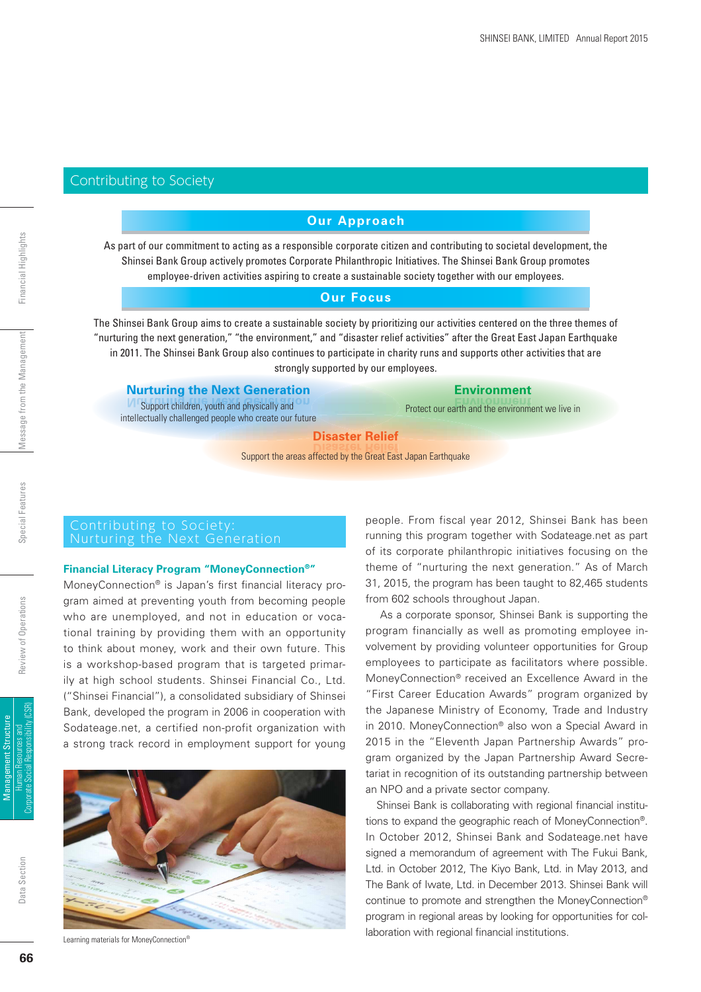#### Contributing to Society

#### **Our Approach**

As part of our commitment to acting as a responsible corporate citizen and contributing to societal development, the Shinsei Bank Group actively promotes Corporate Philanthropic Initiatives. The Shinsei Bank Group promotes employee-driven activities aspiring to create a sustainable society together with our employees.

#### **Our Focus**

The Shinsei Bank Group aims to create a sustainable society by prioritizing our activities centered on the three themes of "nurturing the next generation," "the environment," and "disaster relief activities" after the Great East Japan Earthquake in 2011. The Shinsei Bank Group also continues to participate in charity runs and supports other activities that are strongly supported by our employees.

| <b>Nurturing the Next Generation</b>                                                                 | <b>Environment</b>                               |  |  |  |  |  |  |
|------------------------------------------------------------------------------------------------------|--------------------------------------------------|--|--|--|--|--|--|
| Support children, youth and physically and<br>intellectually challenged people who create our future | Protect our earth and the environment we live in |  |  |  |  |  |  |
| <b>Disaster Relief</b>                                                                               |                                                  |  |  |  |  |  |  |
| Support the areas affected by the Great East Japan Earthquake                                        |                                                  |  |  |  |  |  |  |

#### Contributing to Society: Nurturing the Next Generation

#### **Financial Literacy Program "MoneyConnection®"**

MoneyConnection® is Japan's first financial literacy program aimed at preventing youth from becoming people who are unemployed, and not in education or vocational training by providing them with an opportunity to think about money, work and their own future. This is a workshop-based program that is targeted primarily at high school students. Shinsei Financial Co., Ltd. ("Shinsei Financial"), a consolidated subsidiary of Shinsei Bank, developed the program in 2006 in cooperation with Sodateage.net, a certified non-profit organization with a strong track record in employment support for young



Learning materials for MoneyConnection®

people. From fiscal year 2012, Shinsei Bank has been running this program together with Sodateage.net as part of its corporate philanthropic initiatives focusing on the theme of "nurturing the next generation." As of March 31, 2015, the program has been taught to 82,465 students from 602 schools throughout Japan.

 As a corporate sponsor, Shinsei Bank is supporting the program financially as well as promoting employee involvement by providing volunteer opportunities for Group employees to participate as facilitators where possible. MoneyConnection® received an Excellence Award in the "First Career Education Awards" program organized by the Japanese Ministry of Economy, Trade and Industry in 2010. MoneyConnection® also won a Special Award in 2015 in the "Eleventh Japan Partnership Awards" program organized by the Japan Partnership Award Secretariat in recognition of its outstanding partnership between an NPO and a private sector company.

Shinsei Bank is collaborating with regional financial institutions to expand the geographic reach of MoneyConnection®. In October 2012, Shinsei Bank and Sodateage.net have signed a memorandum of agreement with The Fukui Bank, Ltd. in October 2012, The Kiyo Bank, Ltd. in May 2013, and The Bank of Iwate, Ltd. in December 2013. Shinsei Bank will continue to promote and strengthen the MoneyConnection® program in regional areas by looking for opportunities for collaboration with regional financial institutions.

Human Resources and Corporate Social Responsibility (CSR) Management Structure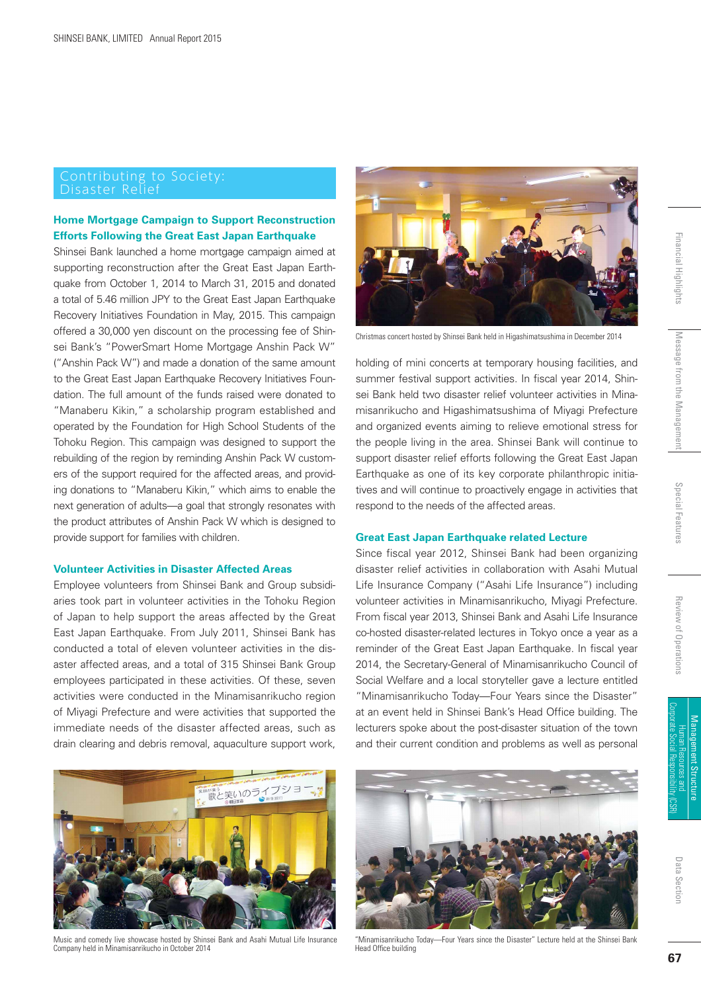## Disaster Relief

#### **Home Mortgage Campaign to Support Reconstruction Efforts Following the Great East Japan Earthquake**

Shinsei Bank launched a home mortgage campaign aimed at supporting reconstruction after the Great East Japan Earthquake from October 1, 2014 to March 31, 2015 and donated a total of 5.46 million JPY to the Great East Japan Earthquake Recovery Initiatives Foundation in May, 2015. This campaign offered a 30,000 yen discount on the processing fee of Shinsei Bank's "PowerSmart Home Mortgage Anshin Pack W" ("Anshin Pack W") and made a donation of the same amount to the Great East Japan Earthquake Recovery Initiatives Foundation. The full amount of the funds raised were donated to "Manaberu Kikin," a scholarship program established and operated by the Foundation for High School Students of the Tohoku Region. This campaign was designed to support the rebuilding of the region by reminding Anshin Pack W customers of the support required for the affected areas, and providing donations to "Manaberu Kikin," which aims to enable the next generation of adults—a goal that strongly resonates with the product attributes of Anshin Pack W which is designed to provide support for families with children.

#### **Volunteer Activities in Disaster Affected Areas**

Employee volunteers from Shinsei Bank and Group subsidiaries took part in volunteer activities in the Tohoku Region of Japan to help support the areas affected by the Great East Japan Earthquake. From July 2011, Shinsei Bank has conducted a total of eleven volunteer activities in the disaster affected areas, and a total of 315 Shinsei Bank Group employees participated in these activities. Of these, seven activities were conducted in the Minamisanrikucho region of Miyagi Prefecture and were activities that supported the immediate needs of the disaster affected areas, such as drain clearing and debris removal, aquaculture support work,



Music and comedy live showcase hosted by Shinsei Bank and Asahi Mutual Life Insurance Company held in Minamisanrikucho in October 2014



Christmas concert hosted by Shinsei Bank held in Higashimatsushima in December 2014

holding of mini concerts at temporary housing facilities, and summer festival support activities. In fiscal year 2014, Shinsei Bank held two disaster relief volunteer activities in Minamisanrikucho and Higashimatsushima of Miyagi Prefecture and organized events aiming to relieve emotional stress for the people living in the area. Shinsei Bank will continue to support disaster relief efforts following the Great East Japan Earthquake as one of its key corporate philanthropic initiatives and will continue to proactively engage in activities that respond to the needs of the affected areas.

#### **Great East Japan Earthquake related Lecture**

Since fiscal year 2012, Shinsei Bank had been organizing disaster relief activities in collaboration with Asahi Mutual Life Insurance Company ("Asahi Life Insurance") including volunteer activities in Minamisanrikucho, Miyagi Prefecture. From fiscal year 2013, Shinsei Bank and Asahi Life Insurance co-hosted disaster-related lectures in Tokyo once a year as a reminder of the Great East Japan Earthquake. In fiscal year 2014, the Secretary-General of Minamisanrikucho Council of Social Welfare and a local storyteller gave a lecture entitled "Minamisanrikucho Today—Four Years since the Disaster" at an event held in Shinsei Bank's Head Office building. The lecturers spoke about the post-disaster situation of the town and their current condition and problems as well as personal



"Minamisanrikucho Today—Four Years since the Disaster" Lecture held at the Shinsei Bank Head Office building